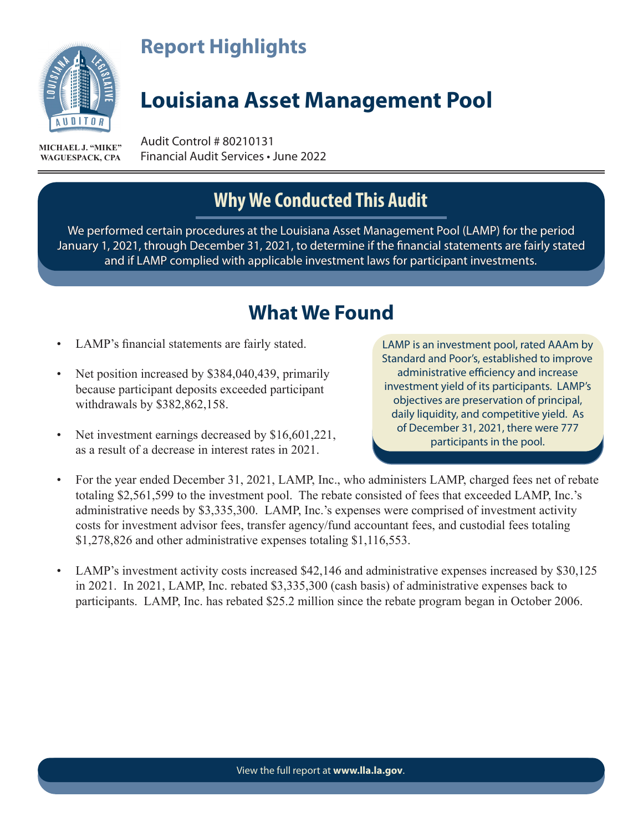# **Report Highlights**



# **Louisiana Asset Management Pool**

**MICHAEL J. "MIKE" WAGUESPACK, CPA**

Audit Control # 80210131 Financial Audit Services • June 2022

# **Why We Conducted This Audit**

We performed certain procedures at the Louisiana Asset Management Pool (LAMP) for the period January 1, 2021, through December 31, 2021, to determine if the financial statements are fairly stated and if LAMP complied with applicable investment laws for participant investments.

# **What We Found**

- LAMP's financial statements are fairly stated.
- Net position increased by \$384,040,439, primarily because participant deposits exceeded participant withdrawals by \$382,862,158.
- Net investment earnings decreased by \$16,601,221, as a result of a decrease in interest rates in 2021.

LAMP is an investment pool, rated AAAm by Standard and Poor's, established to improve administrative efficiency and increase investment yield of its participants. LAMP's objectives are preservation of principal, daily liquidity, and competitive yield. As of December 31, 2021, there were 777 participants in the pool.

- For the year ended December 31, 2021, LAMP, Inc., who administers LAMP, charged fees net of rebate totaling \$2,561,599 to the investment pool. The rebate consisted of fees that exceeded LAMP, Inc.'s administrative needs by \$3,335,300. LAMP, Inc.'s expenses were comprised of investment activity costs for investment advisor fees, transfer agency/fund accountant fees, and custodial fees totaling \$1,278,826 and other administrative expenses totaling \$1,116,553.
- LAMP's investment activity costs increased \$42,146 and administrative expenses increased by \$30,125 in 2021. In 2021, LAMP, Inc. rebated \$3,335,300 (cash basis) of administrative expenses back to participants. LAMP, Inc. has rebated \$25.2 million since the rebate program began in October 2006.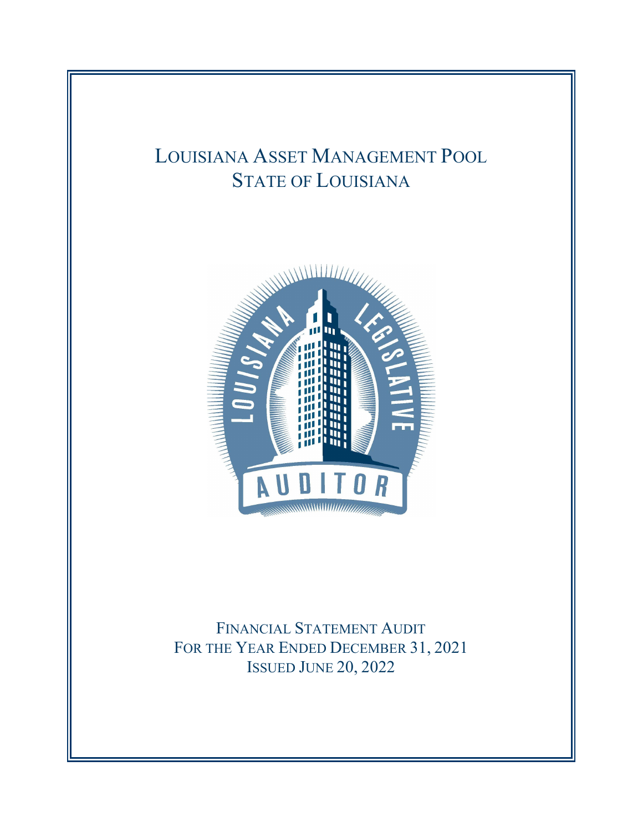# LOUISIANA ASSET MANAGEMENT POOL STATE OF LOUISIANA



FINANCIAL STATEMENT AUDIT FOR THE YEAR ENDED DECEMBER 31, 2021 ISSUED JUNE 20, 2022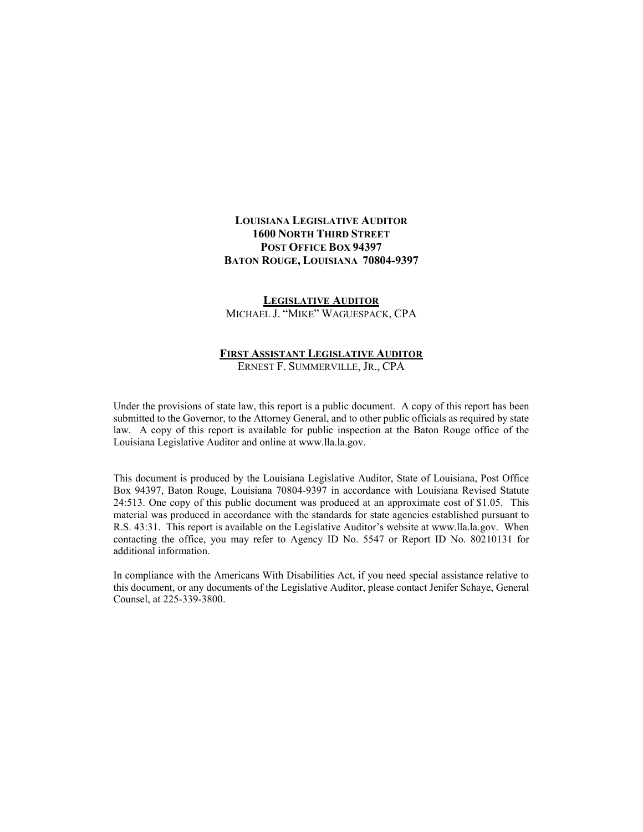#### **LOUISIANA LEGISLATIVE AUDITOR 1600 NORTH THIRD STREET POST OFFICE BOX 94397 BATON ROUGE, LOUISIANA 70804-9397**

#### **LEGISLATIVE AUDITOR** MICHAEL J. "MIKE" WAGUESPACK, CPA

# **FIRST ASSISTANT LEGISLATIVE AUDITOR**

ERNEST F. SUMMERVILLE, JR., CPA

Under the provisions of state law, this report is a public document. A copy of this report has been submitted to the Governor, to the Attorney General, and to other public officials as required by state law. A copy of this report is available for public inspection at the Baton Rouge office of the Louisiana Legislative Auditor and online at www.lla.la.gov.

This document is produced by the Louisiana Legislative Auditor, State of Louisiana, Post Office Box 94397, Baton Rouge, Louisiana 70804-9397 in accordance with Louisiana Revised Statute 24:513. One copy of this public document was produced at an approximate cost of \$1.05. This material was produced in accordance with the standards for state agencies established pursuant to R.S. 43:31. This report is available on the Legislative Auditor's website at www.lla.la.gov. When contacting the office, you may refer to Agency ID No. 5547 or Report ID No. 80210131 for additional information.

In compliance with the Americans With Disabilities Act, if you need special assistance relative to this document, or any documents of the Legislative Auditor, please contact Jenifer Schaye, General Counsel, at 225-339-3800.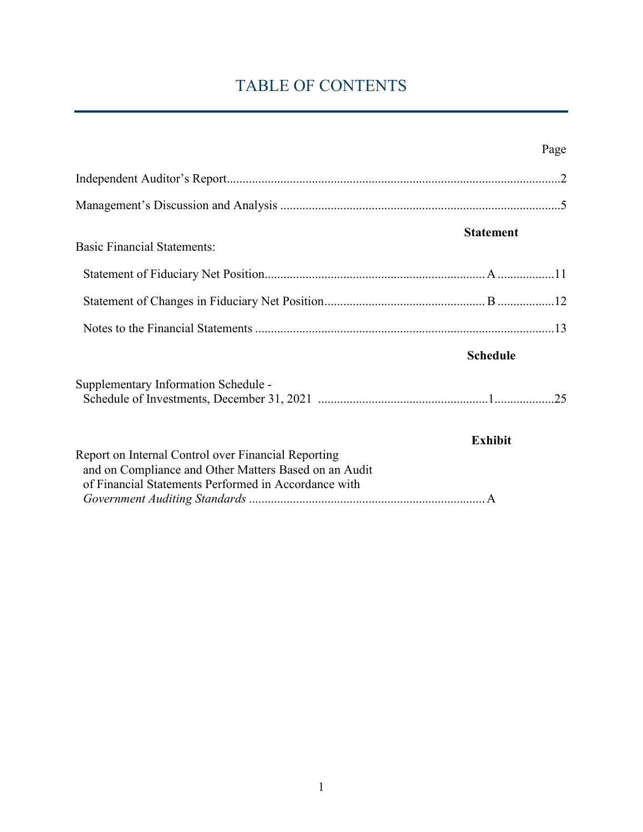# TABLE OF CONTENTS

|                                                                                                               |                  | Page |
|---------------------------------------------------------------------------------------------------------------|------------------|------|
|                                                                                                               |                  |      |
|                                                                                                               |                  |      |
|                                                                                                               | <b>Statement</b> |      |
| <b>Basic Financial Statements:</b>                                                                            |                  |      |
|                                                                                                               |                  |      |
|                                                                                                               |                  |      |
|                                                                                                               |                  |      |
|                                                                                                               | <b>Schedule</b>  |      |
| Supplementary Information Schedule -                                                                          |                  |      |
|                                                                                                               |                  |      |
|                                                                                                               | <b>Exhibit</b>   |      |
| Report on Internal Control over Financial Reporting                                                           |                  |      |
| and on Compliance and Other Matters Based on an Audit<br>of Financial Statements Performed in Accordance with |                  |      |
|                                                                                                               |                  |      |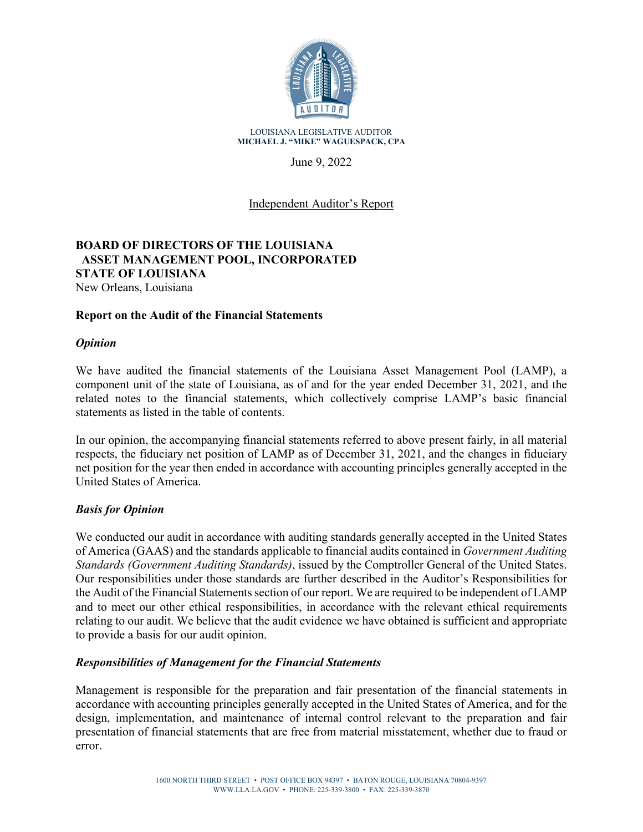

#### LOUISIANA LEGISLATIVE AUDITOR **MICHAEL J. "MIKE" WAGUESPACK, CPA**

June 9, 2022

Independent Auditor's Report

### **BOARD OF DIRECTORS OF THE LOUISIANA ASSET MANAGEMENT POOL, INCORPORATED STATE OF LOUISIANA** New Orleans, Louisiana

### **Report on the Audit of the Financial Statements**

### *Opinion*

We have audited the financial statements of the Louisiana Asset Management Pool (LAMP), a component unit of the state of Louisiana, as of and for the year ended December 31, 2021, and the related notes to the financial statements, which collectively comprise LAMP's basic financial statements as listed in the table of contents.

In our opinion, the accompanying financial statements referred to above present fairly, in all material respects, the fiduciary net position of LAMP as of December 31, 2021, and the changes in fiduciary net position for the year then ended in accordance with accounting principles generally accepted in the United States of America.

### *Basis for Opinion*

We conducted our audit in accordance with auditing standards generally accepted in the United States of America (GAAS) and the standards applicable to financial audits contained in *Government Auditing Standards (Government Auditing Standards)*, issued by the Comptroller General of the United States. Our responsibilities under those standards are further described in the Auditor's Responsibilities for the Audit of the Financial Statements section of our report. We are required to be independent of LAMP and to meet our other ethical responsibilities, in accordance with the relevant ethical requirements relating to our audit. We believe that the audit evidence we have obtained is sufficient and appropriate to provide a basis for our audit opinion.

### *Responsibilities of Management for the Financial Statements*

Management is responsible for the preparation and fair presentation of the financial statements in accordance with accounting principles generally accepted in the United States of America, and for the design, implementation, and maintenance of internal control relevant to the preparation and fair presentation of financial statements that are free from material misstatement, whether due to fraud or error.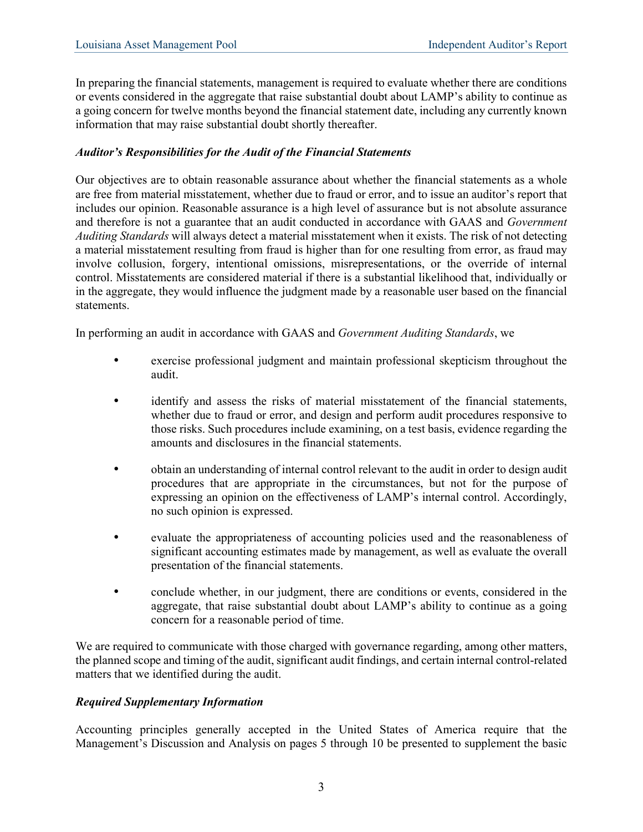In preparing the financial statements, management is required to evaluate whether there are conditions or events considered in the aggregate that raise substantial doubt about LAMP's ability to continue as a going concern for twelve months beyond the financial statement date, including any currently known information that may raise substantial doubt shortly thereafter.

### *Auditor's Responsibilities for the Audit of the Financial Statements*

Our objectives are to obtain reasonable assurance about whether the financial statements as a whole are free from material misstatement, whether due to fraud or error, and to issue an auditor's report that includes our opinion. Reasonable assurance is a high level of assurance but is not absolute assurance and therefore is not a guarantee that an audit conducted in accordance with GAAS and *Government Auditing Standards* will always detect a material misstatement when it exists. The risk of not detecting a material misstatement resulting from fraud is higher than for one resulting from error, as fraud may involve collusion, forgery, intentional omissions, misrepresentations, or the override of internal control. Misstatements are considered material if there is a substantial likelihood that, individually or in the aggregate, they would influence the judgment made by a reasonable user based on the financial statements.

In performing an audit in accordance with GAAS and *Government Auditing Standards*, we

- exercise professional judgment and maintain professional skepticism throughout the audit.
- identify and assess the risks of material misstatement of the financial statements, whether due to fraud or error, and design and perform audit procedures responsive to those risks. Such procedures include examining, on a test basis, evidence regarding the amounts and disclosures in the financial statements.
- obtain an understanding of internal control relevant to the audit in order to design audit procedures that are appropriate in the circumstances, but not for the purpose of expressing an opinion on the effectiveness of LAMP's internal control. Accordingly, no such opinion is expressed.
- evaluate the appropriateness of accounting policies used and the reasonableness of significant accounting estimates made by management, as well as evaluate the overall presentation of the financial statements.
- conclude whether, in our judgment, there are conditions or events, considered in the aggregate, that raise substantial doubt about LAMP's ability to continue as a going concern for a reasonable period of time.

We are required to communicate with those charged with governance regarding, among other matters, the planned scope and timing of the audit, significant audit findings, and certain internal control-related matters that we identified during the audit.

### *Required Supplementary Information*

Accounting principles generally accepted in the United States of America require that the Management's Discussion and Analysis on pages 5 through 10 be presented to supplement the basic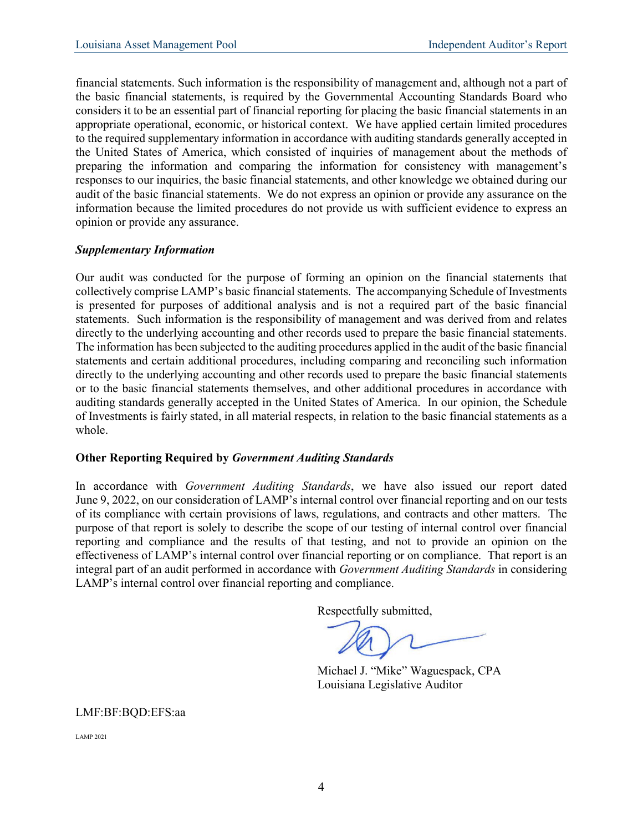financial statements. Such information is the responsibility of management and, although not a part of the basic financial statements, is required by the Governmental Accounting Standards Board who considers it to be an essential part of financial reporting for placing the basic financial statements in an appropriate operational, economic, or historical context. We have applied certain limited procedures to the required supplementary information in accordance with auditing standards generally accepted in the United States of America, which consisted of inquiries of management about the methods of preparing the information and comparing the information for consistency with management's responses to our inquiries, the basic financial statements, and other knowledge we obtained during our audit of the basic financial statements. We do not express an opinion or provide any assurance on the information because the limited procedures do not provide us with sufficient evidence to express an opinion or provide any assurance.

#### *Supplementary Information*

Our audit was conducted for the purpose of forming an opinion on the financial statements that collectively comprise LAMP's basic financial statements. The accompanying Schedule of Investments is presented for purposes of additional analysis and is not a required part of the basic financial statements. Such information is the responsibility of management and was derived from and relates directly to the underlying accounting and other records used to prepare the basic financial statements. The information has been subjected to the auditing procedures applied in the audit of the basic financial statements and certain additional procedures, including comparing and reconciling such information directly to the underlying accounting and other records used to prepare the basic financial statements or to the basic financial statements themselves, and other additional procedures in accordance with auditing standards generally accepted in the United States of America. In our opinion, the Schedule of Investments is fairly stated, in all material respects, in relation to the basic financial statements as a whole.

#### **Other Reporting Required by** *Government Auditing Standards*

In accordance with *Government Auditing Standards*, we have also issued our report dated June 9, 2022, on our consideration of LAMP's internal control over financial reporting and on our tests of its compliance with certain provisions of laws, regulations, and contracts and other matters. The purpose of that report is solely to describe the scope of our testing of internal control over financial reporting and compliance and the results of that testing, and not to provide an opinion on the effectiveness of LAMP's internal control over financial reporting or on compliance. That report is an integral part of an audit performed in accordance with *Government Auditing Standards* in considering LAMP's internal control over financial reporting and compliance.

Respectfully submitted,

Michael J. "Mike" Waguespack, CPA Louisiana Legislative Auditor

LMF:BF:BQD:EFS:aa

LAMP 2021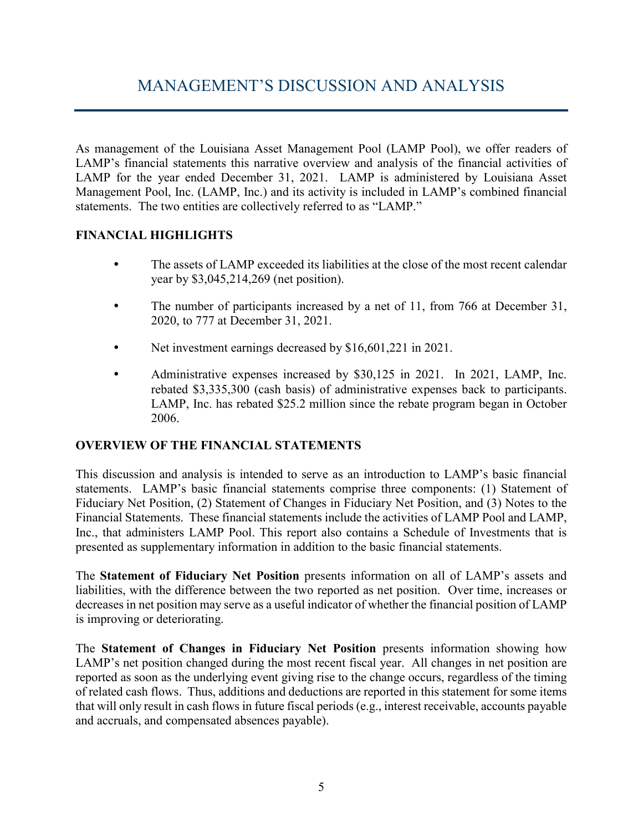As management of the Louisiana Asset Management Pool (LAMP Pool), we offer readers of LAMP's financial statements this narrative overview and analysis of the financial activities of LAMP for the year ended December 31, 2021. LAMP is administered by Louisiana Asset Management Pool, Inc. (LAMP, Inc.) and its activity is included in LAMP's combined financial statements. The two entities are collectively referred to as "LAMP."

# **FINANCIAL HIGHLIGHTS**

- The assets of LAMP exceeded its liabilities at the close of the most recent calendar year by \$3,045,214,269 (net position).
- The number of participants increased by a net of 11, from 766 at December 31, 2020, to 777 at December 31, 2021.
- Net investment earnings decreased by \$16,601,221 in 2021.
- Administrative expenses increased by \$30,125 in 2021. In 2021, LAMP, Inc. rebated \$3,335,300 (cash basis) of administrative expenses back to participants. LAMP, Inc. has rebated \$25.2 million since the rebate program began in October 2006.

# **OVERVIEW OF THE FINANCIAL STATEMENTS**

This discussion and analysis is intended to serve as an introduction to LAMP's basic financial statements. LAMP's basic financial statements comprise three components: (1) Statement of Fiduciary Net Position, (2) Statement of Changes in Fiduciary Net Position, and (3) Notes to the Financial Statements. These financial statements include the activities of LAMP Pool and LAMP, Inc., that administers LAMP Pool. This report also contains a Schedule of Investments that is presented as supplementary information in addition to the basic financial statements.

The **Statement of Fiduciary Net Position** presents information on all of LAMP's assets and liabilities, with the difference between the two reported as net position. Over time, increases or decreases in net position may serve as a useful indicator of whether the financial position of LAMP is improving or deteriorating.

The **Statement of Changes in Fiduciary Net Position** presents information showing how LAMP's net position changed during the most recent fiscal year. All changes in net position are reported as soon as the underlying event giving rise to the change occurs, regardless of the timing of related cash flows. Thus, additions and deductions are reported in this statement for some items that will only result in cash flows in future fiscal periods (e.g., interest receivable, accounts payable and accruals, and compensated absences payable).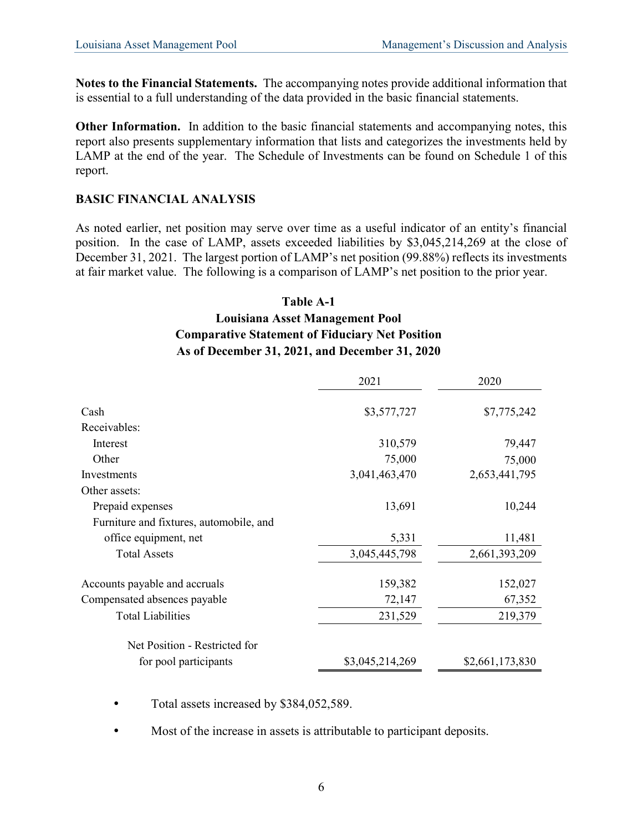**Notes to the Financial Statements.** The accompanying notes provide additional information that is essential to a full understanding of the data provided in the basic financial statements.

**Other Information.** In addition to the basic financial statements and accompanying notes, this report also presents supplementary information that lists and categorizes the investments held by LAMP at the end of the year. The Schedule of Investments can be found on Schedule 1 of this report.

# **BASIC FINANCIAL ANALYSIS**

As noted earlier, net position may serve over time as a useful indicator of an entity's financial position. In the case of LAMP, assets exceeded liabilities by \$3,045,214,269 at the close of December 31, 2021. The largest portion of LAMP's net position (99.88%) reflects its investments at fair market value. The following is a comparison of LAMP's net position to the prior year.

### **Table A-1**

# **Louisiana Asset Management Pool Comparative Statement of Fiduciary Net Position As of December 31, 2021, and December 31, 2020**

|                                         | 2021            | 2020            |
|-----------------------------------------|-----------------|-----------------|
| Cash                                    | \$3,577,727     | \$7,775,242     |
| Receivables:                            |                 |                 |
| Interest                                | 310,579         | 79,447          |
| Other                                   | 75,000          | 75,000          |
| Investments                             | 3,041,463,470   | 2,653,441,795   |
| Other assets:                           |                 |                 |
| Prepaid expenses                        | 13,691          | 10,244          |
| Furniture and fixtures, automobile, and |                 |                 |
| office equipment, net                   | 5,331           | 11,481          |
| <b>Total Assets</b>                     | 3,045,445,798   | 2,661,393,209   |
| Accounts payable and accruals           | 159,382         | 152,027         |
| Compensated absences payable            | 72,147          | 67,352          |
| <b>Total Liabilities</b>                | 231,529         | 219,379         |
| Net Position - Restricted for           |                 |                 |
| for pool participants                   | \$3,045,214,269 | \$2,661,173,830 |

- Total assets increased by \$384,052,589.
- Most of the increase in assets is attributable to participant deposits.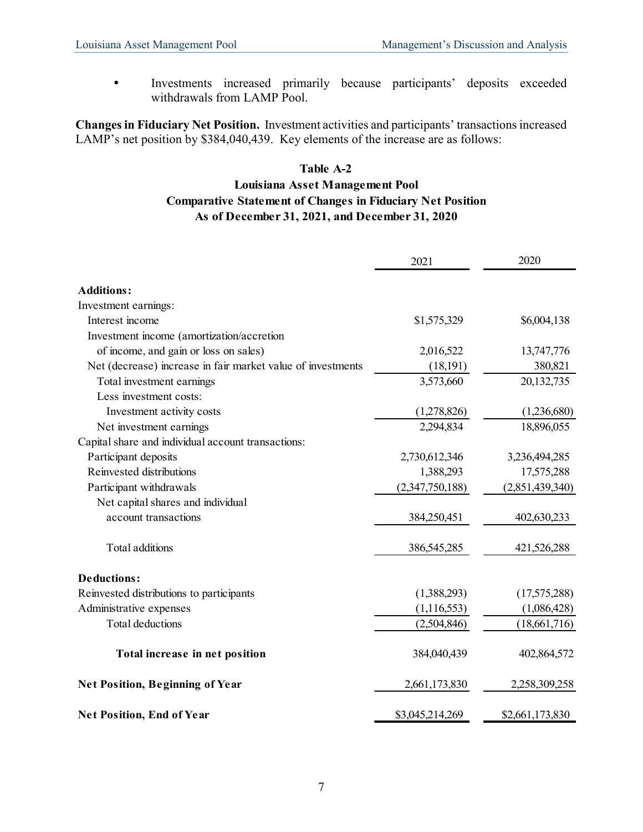Investments increased primarily because participants' deposits exceeded withdrawals from LAMP Pool.

**Changes in Fiduciary Net Position.** Investment activities and participants' transactions increased LAMP's net position by \$384,040,439. Key elements of the increase are as follows:

## **Table A-2**

# **Louisiana Asset Management Pool Comparative Statement of Changes in Fiduciary Net Position As of December 31, 2021, and December 31, 2020**

|                                                             | 2021            | 2020            |
|-------------------------------------------------------------|-----------------|-----------------|
| <b>Additions:</b>                                           |                 |                 |
| Investment earnings:                                        |                 |                 |
| Interest income                                             | \$1,575,329     | \$6,004,138     |
| Investment income (amortization/accretion                   |                 |                 |
| of income, and gain or loss on sales)                       | 2,016,522       | 13,747,776      |
| Net (decrease) increase in fair market value of investments | (18, 191)       | 380,821         |
| Total investment earnings                                   | 3,573,660       | 20,132,735      |
| Less investment costs:                                      |                 |                 |
| Investment activity costs                                   | (1,278,826)     | (1,236,680)     |
| Net investment earnings                                     | 2,294,834       | 18,896,055      |
| Capital share and individual account transactions:          |                 |                 |
| Participant deposits                                        | 2,730,612,346   | 3,236,494,285   |
| Reinvested distributions                                    | 1,388,293       | 17,575,288      |
| Participant withdrawals                                     | (2,347,750,188) | (2,851,439,340) |
| Net capital shares and individual                           |                 |                 |
| account transactions                                        | 384,250,451     | 402,630,233     |
| Total additions                                             | 386,545,285     | 421,526,288     |
| <b>Deductions:</b>                                          |                 |                 |
| Reinvested distributions to participants                    | (1,388,293)     | (17,575,288)    |
| Administrative expenses                                     | (1, 116, 553)   | (1,086,428)     |
| Total deductions                                            | (2,504,846)     | (18,661,716)    |
| Total increase in net position                              | 384,040,439     | 402,864,572     |
| <b>Net Position, Beginning of Year</b>                      | 2,661,173,830   | 2,258,309,258   |
| <b>Net Position, End of Year</b>                            | \$3,045,214,269 | \$2,661,173,830 |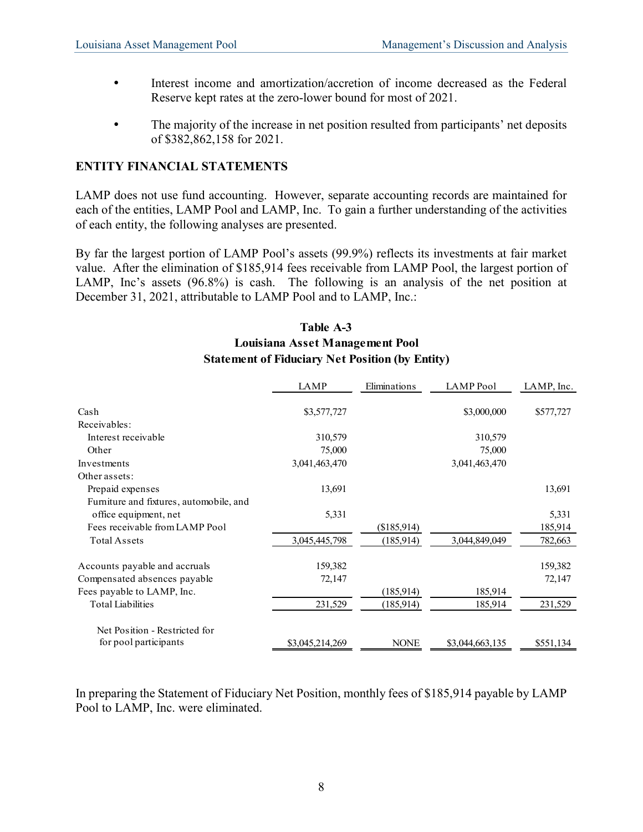- Interest income and amortization/accretion of income decreased as the Federal Reserve kept rates at the zero-lower bound for most of 2021.
- The majority of the increase in net position resulted from participants' net deposits of \$382,862,158 for 2021.

#### **ENTITY FINANCIAL STATEMENTS**

LAMP does not use fund accounting. However, separate accounting records are maintained for each of the entities, LAMP Pool and LAMP, Inc. To gain a further understanding of the activities of each entity, the following analyses are presented.

By far the largest portion of LAMP Pool's assets (99.9%) reflects its investments at fair market value. After the elimination of \$185,914 fees receivable from LAMP Pool, the largest portion of LAMP, Inc's assets (96.8%) is cash. The following is an analysis of the net position at December 31, 2021, attributable to LAMP Pool and to LAMP, Inc.:

## **Table A-3 Louisiana Asset Management Pool Statement of Fiduciary Net Position (by Entity)**

|                                         | LAMP            | Eliminations | <b>LAMP</b> Pool | LAMP, Inc. |
|-----------------------------------------|-----------------|--------------|------------------|------------|
|                                         |                 |              |                  |            |
| Cash                                    | \$3,577,727     |              | \$3,000,000      | \$577,727  |
| Receivables:                            |                 |              |                  |            |
| Interest receivable                     | 310,579         |              | 310,579          |            |
| Other                                   | 75,000          |              | 75,000           |            |
| Investments                             | 3,041,463,470   |              | 3,041,463,470    |            |
| Other assets:                           |                 |              |                  |            |
| Prepaid expenses                        | 13,691          |              |                  | 13,691     |
| Furniture and fixtures, automobile, and |                 |              |                  |            |
| office equipment, net                   | 5,331           |              |                  | 5,331      |
| Fees receivable from LAMP Pool          |                 | (\$185,914)  |                  | 185,914    |
| Total Assets                            | 3,045,445,798   | (185,914)    | 3,044,849,049    | 782,663    |
| Accounts payable and accruals           | 159,382         |              |                  | 159,382    |
| Compensated absences payable            | 72,147          |              |                  | 72,147     |
| Fees payable to LAMP, Inc.              |                 | (185, 914)   | 185,914          |            |
| <b>Total Liabilities</b>                | 231,529         | (185,914)    | 185,914          | 231,529    |
| Net Position - Restricted for           |                 |              |                  |            |
| for pool participants                   | \$3,045,214,269 | <b>NONE</b>  | \$3,044,663,135  | \$551,134  |

In preparing the Statement of Fiduciary Net Position, monthly fees of \$185,914 payable by LAMP Pool to LAMP, Inc. were eliminated.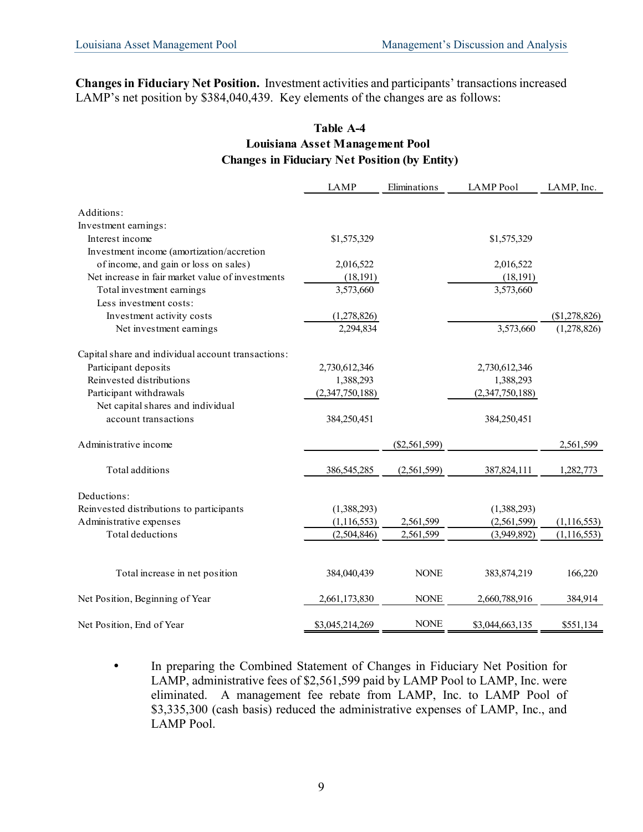**Changes in Fiduciary Net Position.** Investment activities and participants' transactions increased LAMP's net position by \$384,040,439. Key elements of the changes are as follows:

# **Table A-4 Louisiana Asset Management Pool Changes in Fiduciary Net Position (by Entity)**

|                                                    | <b>LAMP</b>     | Eliminations    | <b>LAMP</b> Pool | LAMP, Inc.    |
|----------------------------------------------------|-----------------|-----------------|------------------|---------------|
|                                                    |                 |                 |                  |               |
| Additions:                                         |                 |                 |                  |               |
| Investment earnings:                               |                 |                 |                  |               |
| Interest income                                    | \$1,575,329     |                 | \$1,575,329      |               |
| Investment income (amortization/accretion          |                 |                 |                  |               |
| of income, and gain or loss on sales)              | 2,016,522       |                 | 2,016,522        |               |
| Net increase in fair market value of investments   | (18, 191)       |                 | (18, 191)        |               |
| Total investment earnings                          | 3,573,660       |                 | 3,573,660        |               |
| Less investment costs:                             |                 |                 |                  |               |
| Investment activity costs                          | (1,278,826)     |                 |                  | (\$1,278,826) |
| Net investment earnings                            | 2,294,834       |                 | 3,573,660        | (1,278,826)   |
| Capital share and individual account transactions: |                 |                 |                  |               |
| Participant deposits                               | 2,730,612,346   |                 | 2,730,612,346    |               |
| Reinvested distributions                           | 1,388,293       |                 | 1,388,293        |               |
| Participant withdrawals                            | (2,347,750,188) |                 | (2,347,750,188)  |               |
| Net capital shares and individual                  |                 |                 |                  |               |
| account transactions                               | 384,250,451     |                 | 384,250,451      |               |
| Administrative income                              |                 | $(\$2,561,599)$ |                  | 2,561,599     |
| Total additions                                    | 386,545,285     | (2,561,599)     | 387, 824, 111    | 1,282,773     |
| Deductions:                                        |                 |                 |                  |               |
| Reinvested distributions to participants           | (1,388,293)     |                 | (1,388,293)      |               |
| Administrative expenses                            | (1, 116, 553)   | 2,561,599       | (2,561,599)      | (1, 116, 553) |
| Total deductions                                   | (2,504,846)     | 2,561,599       | (3,949,892)      | (1, 116, 553) |
|                                                    |                 |                 |                  |               |
| Total increase in net position                     | 384,040,439     | <b>NONE</b>     | 383, 874, 219    | 166,220       |
| Net Position, Beginning of Year                    | 2,661,173,830   | <b>NONE</b>     | 2,660,788,916    | 384,914       |
| Net Position, End of Year                          | \$3,045,214,269 | <b>NONE</b>     | \$3,044,663,135  | \$551,134     |

 In preparing the Combined Statement of Changes in Fiduciary Net Position for LAMP, administrative fees of \$2,561,599 paid by LAMP Pool to LAMP, Inc. were eliminated. A management fee rebate from LAMP, Inc. to LAMP Pool of \$3,335,300 (cash basis) reduced the administrative expenses of LAMP, Inc., and LAMP Pool.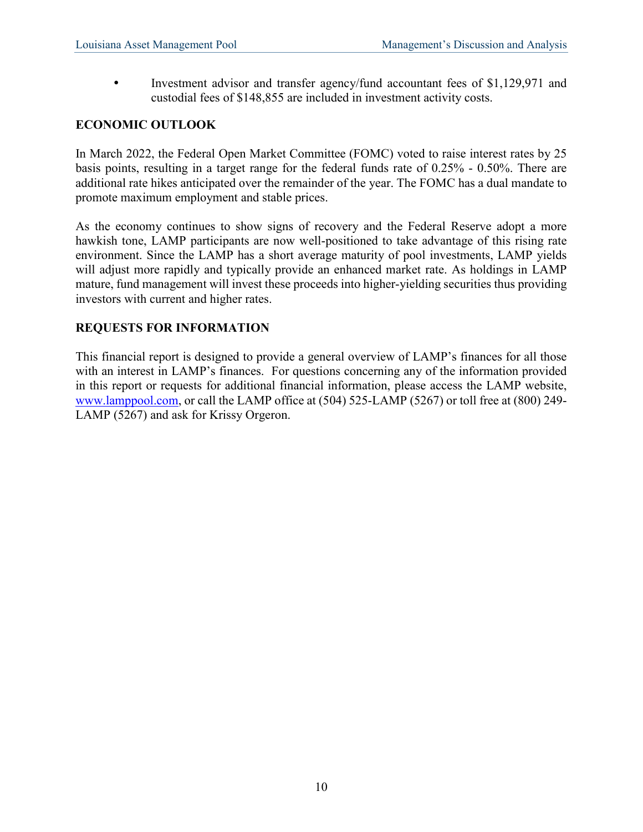Investment advisor and transfer agency/fund accountant fees of \$1,129,971 and custodial fees of \$148,855 are included in investment activity costs.

# **ECONOMIC OUTLOOK**

In March 2022, the Federal Open Market Committee (FOMC) voted to raise interest rates by 25 basis points, resulting in a target range for the federal funds rate of 0.25% - 0.50%. There are additional rate hikes anticipated over the remainder of the year. The FOMC has a dual mandate to promote maximum employment and stable prices.

As the economy continues to show signs of recovery and the Federal Reserve adopt a more hawkish tone, LAMP participants are now well-positioned to take advantage of this rising rate environment. Since the LAMP has a short average maturity of pool investments, LAMP yields will adjust more rapidly and typically provide an enhanced market rate. As holdings in LAMP mature, fund management will invest these proceeds into higher-yielding securities thus providing investors with current and higher rates.

# **REQUESTS FOR INFORMATION**

This financial report is designed to provide a general overview of LAMP's finances for all those with an interest in LAMP's finances. For questions concerning any of the information provided in this report or requests for additional financial information, please access the LAMP website, [www.lamppool.com,](file://lla1/USERS/CHARLESW/aic/AIC%20-%20Falgout/2016%20-%20LAMP/Report/www.lamppool.com) or call the LAMP office at (504) 525-LAMP (5267) or toll free at (800) 249- LAMP (5267) and ask for Krissy Orgeron.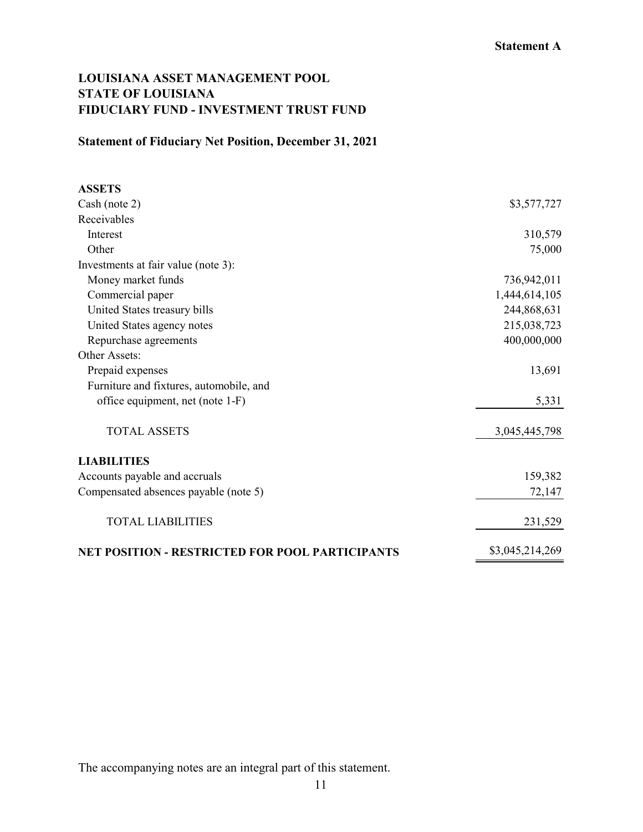# **LOUISIANA ASSET MANAGEMENT POOL STATE OF LOUISIANA FIDUCIARY FUND - INVESTMENT TRUST FUND**

# **Statement of Fiduciary Net Position, December 31, 2021**

| <b>ASSETS</b>                                          |                 |
|--------------------------------------------------------|-----------------|
| Cash (note 2)                                          | \$3,577,727     |
| Receivables                                            |                 |
| Interest                                               | 310,579         |
| Other                                                  | 75,000          |
| Investments at fair value (note 3):                    |                 |
| Money market funds                                     | 736,942,011     |
| Commercial paper                                       | 1,444,614,105   |
| United States treasury bills                           | 244,868,631     |
| United States agency notes                             | 215,038,723     |
| Repurchase agreements                                  | 400,000,000     |
| Other Assets:                                          |                 |
| Prepaid expenses                                       | 13,691          |
| Furniture and fixtures, automobile, and                |                 |
| office equipment, net (note 1-F)                       | 5,331           |
| <b>TOTAL ASSETS</b>                                    | 3,045,445,798   |
| <b>LIABILITIES</b>                                     |                 |
| Accounts payable and accruals                          | 159,382         |
| Compensated absences payable (note 5)                  | 72,147          |
| <b>TOTAL LIABILITIES</b>                               | 231,529         |
| <b>NET POSITION - RESTRICTED FOR POOL PARTICIPANTS</b> | \$3,045,214,269 |

The accompanying notes are an integral part of this statement.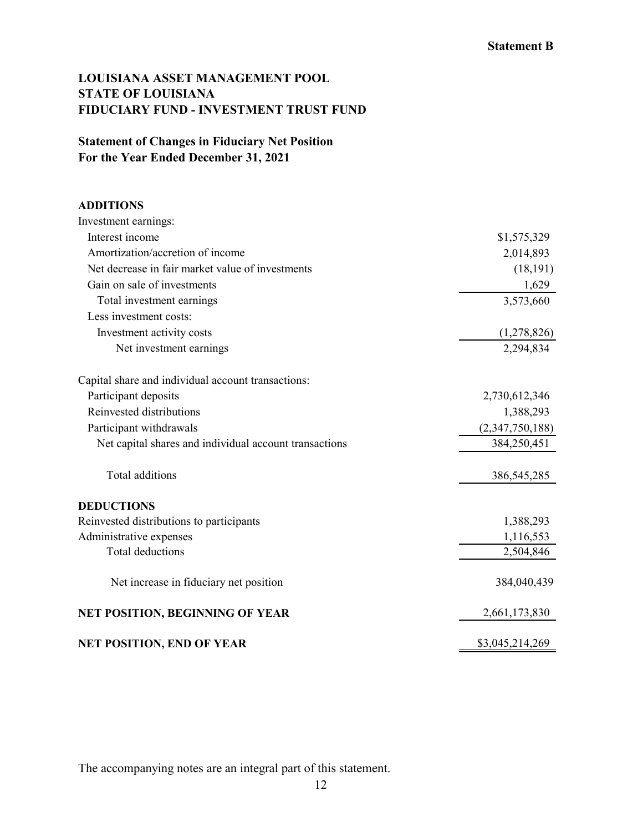# **LOUISIANA ASSET MANAGEMENT POOL STATE OF LOUISIANA FIDUCIARY FUND - INVESTMENT TRUST FUND**

# **Statement of Changes in Fiduciary Net Position For the Year Ended December 31, 2021**

### **ADDITIONS**

| Investment earnings:                                   |                 |
|--------------------------------------------------------|-----------------|
| Interest income                                        | \$1,575,329     |
| Amortization/accretion of income                       | 2,014,893       |
| Net decrease in fair market value of investments       | (18, 191)       |
| Gain on sale of investments                            | 1,629           |
| Total investment earnings                              | 3,573,660       |
| Less investment costs:                                 |                 |
| Investment activity costs                              | (1,278,826)     |
| Net investment earnings                                | 2,294,834       |
| Capital share and individual account transactions:     |                 |
| Participant deposits                                   | 2,730,612,346   |
| Reinvested distributions                               | 1,388,293       |
| Participant withdrawals                                | (2,347,750,188) |
| Net capital shares and individual account transactions | 384,250,451     |
| Total additions                                        | 386, 545, 285   |
| <b>DEDUCTIONS</b>                                      |                 |
| Reinvested distributions to participants               | 1,388,293       |
| Administrative expenses                                | 1,116,553       |
| <b>Total deductions</b>                                | 2,504,846       |
| Net increase in fiduciary net position                 | 384,040,439     |
| NET POSITION, BEGINNING OF YEAR                        | 2,661,173,830   |
| <b>NET POSITION, END OF YEAR</b>                       | \$3,045,214,269 |

The accompanying notes are an integral part of this statement.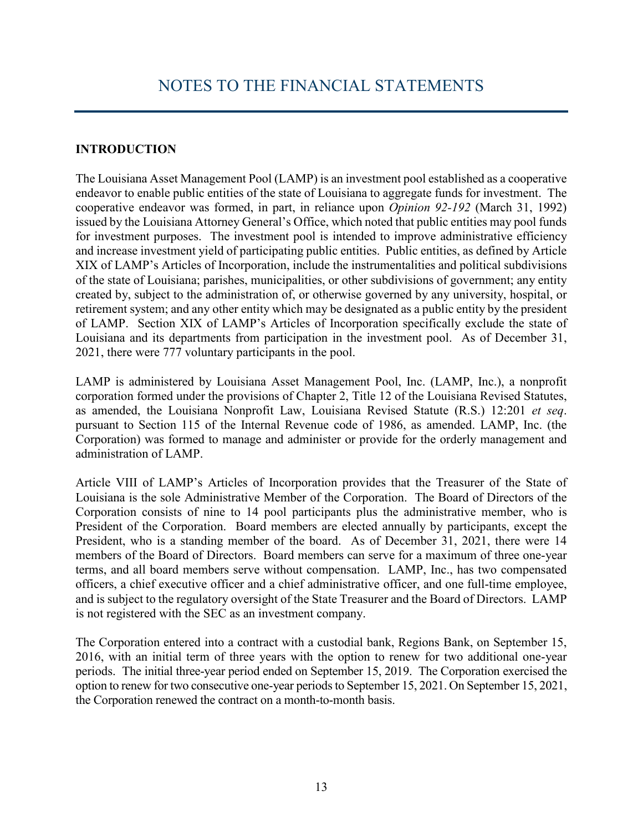# **INTRODUCTION**

The Louisiana Asset Management Pool (LAMP) is an investment pool established as a cooperative endeavor to enable public entities of the state of Louisiana to aggregate funds for investment. The cooperative endeavor was formed, in part, in reliance upon *Opinion 92-192* (March 31, 1992) issued by the Louisiana Attorney General's Office, which noted that public entities may pool funds for investment purposes. The investment pool is intended to improve administrative efficiency and increase investment yield of participating public entities. Public entities, as defined by Article XIX of LAMP's Articles of Incorporation, include the instrumentalities and political subdivisions of the state of Louisiana; parishes, municipalities, or other subdivisions of government; any entity created by, subject to the administration of, or otherwise governed by any university, hospital, or retirement system; and any other entity which may be designated as a public entity by the president of LAMP. Section XIX of LAMP's Articles of Incorporation specifically exclude the state of Louisiana and its departments from participation in the investment pool. As of December 31, 2021, there were 777 voluntary participants in the pool.

LAMP is administered by Louisiana Asset Management Pool, Inc. (LAMP, Inc.), a nonprofit corporation formed under the provisions of Chapter 2, Title 12 of the Louisiana Revised Statutes, as amended, the Louisiana Nonprofit Law, Louisiana Revised Statute (R.S.) 12:201 *et seq*. pursuant to Section 115 of the Internal Revenue code of 1986, as amended. LAMP, Inc. (the Corporation) was formed to manage and administer or provide for the orderly management and administration of LAMP.

Article VIII of LAMP's Articles of Incorporation provides that the Treasurer of the State of Louisiana is the sole Administrative Member of the Corporation. The Board of Directors of the Corporation consists of nine to 14 pool participants plus the administrative member, who is President of the Corporation. Board members are elected annually by participants, except the President, who is a standing member of the board. As of December 31, 2021, there were 14 members of the Board of Directors. Board members can serve for a maximum of three one-year terms, and all board members serve without compensation. LAMP, Inc., has two compensated officers, a chief executive officer and a chief administrative officer, and one full-time employee, and is subject to the regulatory oversight of the State Treasurer and the Board of Directors. LAMP is not registered with the SEC as an investment company.

The Corporation entered into a contract with a custodial bank, Regions Bank, on September 15, 2016, with an initial term of three years with the option to renew for two additional one-year periods. The initial three-year period ended on September 15, 2019. The Corporation exercised the option to renew for two consecutive one-year periods to September 15, 2021. On September 15, 2021, the Corporation renewed the contract on a month-to-month basis.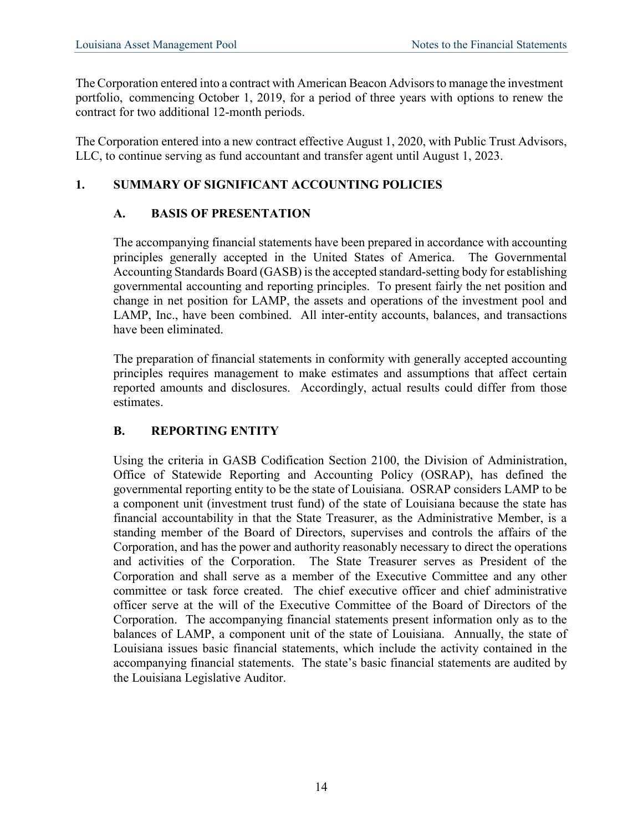The Corporation entered into a contract with American Beacon Advisors to manage the investment portfolio, commencing October 1, 2019, for a period of three years with options to renew the contract for two additional 12-month periods.

The Corporation entered into a new contract effective August 1, 2020, with Public Trust Advisors, LLC, to continue serving as fund accountant and transfer agent until August 1, 2023.

# **1. SUMMARY OF SIGNIFICANT ACCOUNTING POLICIES**

# **A. BASIS OF PRESENTATION**

The accompanying financial statements have been prepared in accordance with accounting principles generally accepted in the United States of America. The Governmental Accounting Standards Board (GASB) is the accepted standard-setting body for establishing governmental accounting and reporting principles. To present fairly the net position and change in net position for LAMP, the assets and operations of the investment pool and LAMP, Inc., have been combined. All inter-entity accounts, balances, and transactions have been eliminated.

The preparation of financial statements in conformity with generally accepted accounting principles requires management to make estimates and assumptions that affect certain reported amounts and disclosures. Accordingly, actual results could differ from those estimates.

# **B. REPORTING ENTITY**

Using the criteria in GASB Codification Section 2100, the Division of Administration, Office of Statewide Reporting and Accounting Policy (OSRAP), has defined the governmental reporting entity to be the state of Louisiana. OSRAP considers LAMP to be a component unit (investment trust fund) of the state of Louisiana because the state has financial accountability in that the State Treasurer, as the Administrative Member, is a standing member of the Board of Directors, supervises and controls the affairs of the Corporation, and has the power and authority reasonably necessary to direct the operations and activities of the Corporation. The State Treasurer serves as President of the Corporation and shall serve as a member of the Executive Committee and any other committee or task force created. The chief executive officer and chief administrative officer serve at the will of the Executive Committee of the Board of Directors of the Corporation. The accompanying financial statements present information only as to the balances of LAMP, a component unit of the state of Louisiana. Annually, the state of Louisiana issues basic financial statements, which include the activity contained in the accompanying financial statements. The state's basic financial statements are audited by the Louisiana Legislative Auditor.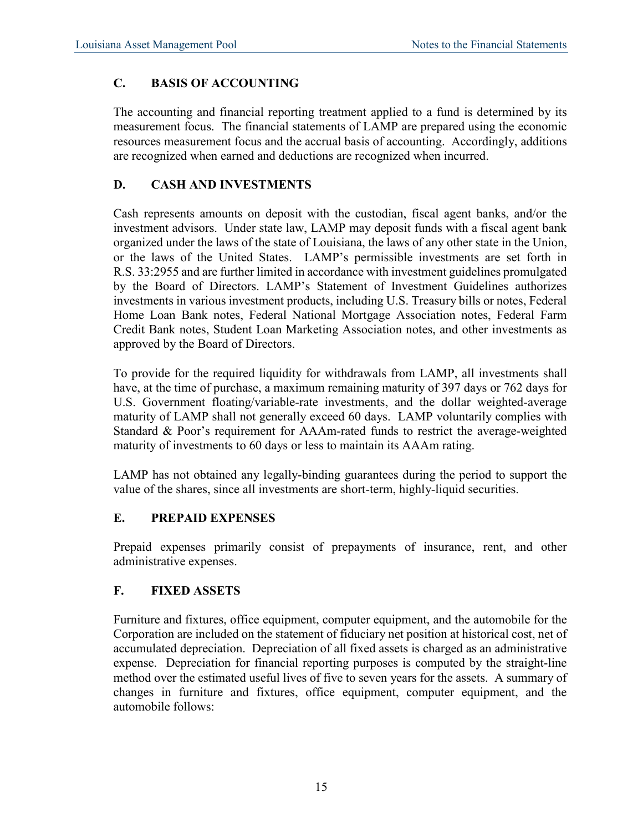# **C. BASIS OF ACCOUNTING**

The accounting and financial reporting treatment applied to a fund is determined by its measurement focus. The financial statements of LAMP are prepared using the economic resources measurement focus and the accrual basis of accounting. Accordingly, additions are recognized when earned and deductions are recognized when incurred.

# **D. CASH AND INVESTMENTS**

Cash represents amounts on deposit with the custodian, fiscal agent banks, and/or the investment advisors. Under state law, LAMP may deposit funds with a fiscal agent bank organized under the laws of the state of Louisiana, the laws of any other state in the Union, or the laws of the United States. LAMP's permissible investments are set forth in R.S. 33:2955 and are further limited in accordance with investment guidelines promulgated by the Board of Directors. LAMP's Statement of Investment Guidelines authorizes investments in various investment products, including U.S. Treasury bills or notes, Federal Home Loan Bank notes, Federal National Mortgage Association notes, Federal Farm Credit Bank notes, Student Loan Marketing Association notes, and other investments as approved by the Board of Directors.

To provide for the required liquidity for withdrawals from LAMP, all investments shall have, at the time of purchase, a maximum remaining maturity of 397 days or 762 days for U.S. Government floating/variable-rate investments, and the dollar weighted-average maturity of LAMP shall not generally exceed 60 days. LAMP voluntarily complies with Standard & Poor's requirement for AAAm-rated funds to restrict the average-weighted maturity of investments to 60 days or less to maintain its AAAm rating.

LAMP has not obtained any legally-binding guarantees during the period to support the value of the shares, since all investments are short-term, highly-liquid securities.

# **E. PREPAID EXPENSES**

Prepaid expenses primarily consist of prepayments of insurance, rent, and other administrative expenses.

# **F. FIXED ASSETS**

Furniture and fixtures, office equipment, computer equipment, and the automobile for the Corporation are included on the statement of fiduciary net position at historical cost, net of accumulated depreciation. Depreciation of all fixed assets is charged as an administrative expense. Depreciation for financial reporting purposes is computed by the straight-line method over the estimated useful lives of five to seven years for the assets. A summary of changes in furniture and fixtures, office equipment, computer equipment, and the automobile follows: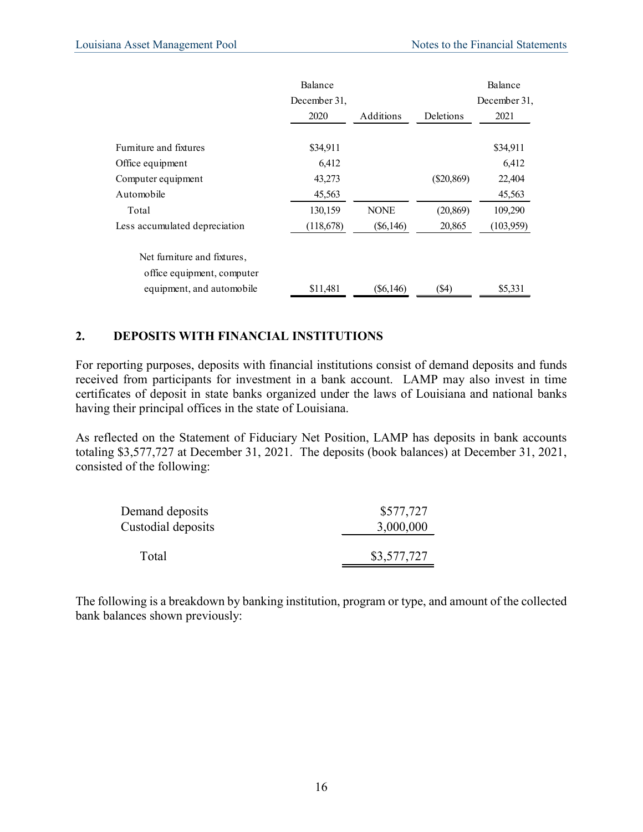|                               | Balance      |             |              | Balance      |
|-------------------------------|--------------|-------------|--------------|--------------|
|                               | December 31, |             |              | December 31. |
|                               | 2020         | Additions   | Deletions    | 2021         |
|                               |              |             |              |              |
| Furniture and fixtures        | \$34,911     |             |              | \$34,911     |
| Office equipment              | 6,412        |             |              | 6,412        |
| Computer equipment            | 43,273       |             | $(\$20,869)$ | 22,404       |
| Automobile                    | 45,563       |             |              | 45,563       |
| Total                         | 130,159      | <b>NONE</b> | (20, 869)    | 109,290      |
| Less accumulated depreciation | (118, 678)   | $(\$6,146)$ | 20,865       | (103, 959)   |
| Net furniture and fixtures,   |              |             |              |              |
| office equipment, computer    |              |             |              |              |
| equipment, and automobile     | \$11,481     | $(\$6,146)$ | (S4)         | \$5,331      |

# **2. DEPOSITS WITH FINANCIAL INSTITUTIONS**

For reporting purposes, deposits with financial institutions consist of demand deposits and funds received from participants for investment in a bank account. LAMP may also invest in time certificates of deposit in state banks organized under the laws of Louisiana and national banks having their principal offices in the state of Louisiana.

As reflected on the Statement of Fiduciary Net Position, LAMP has deposits in bank accounts totaling \$3,577,727 at December 31, 2021. The deposits (book balances) at December 31, 2021, consisted of the following:

| Demand deposits    | \$577,727   |
|--------------------|-------------|
| Custodial deposits | 3,000,000   |
| Total              | \$3,577,727 |
|                    |             |

The following is a breakdown by banking institution, program or type, and amount of the collected bank balances shown previously: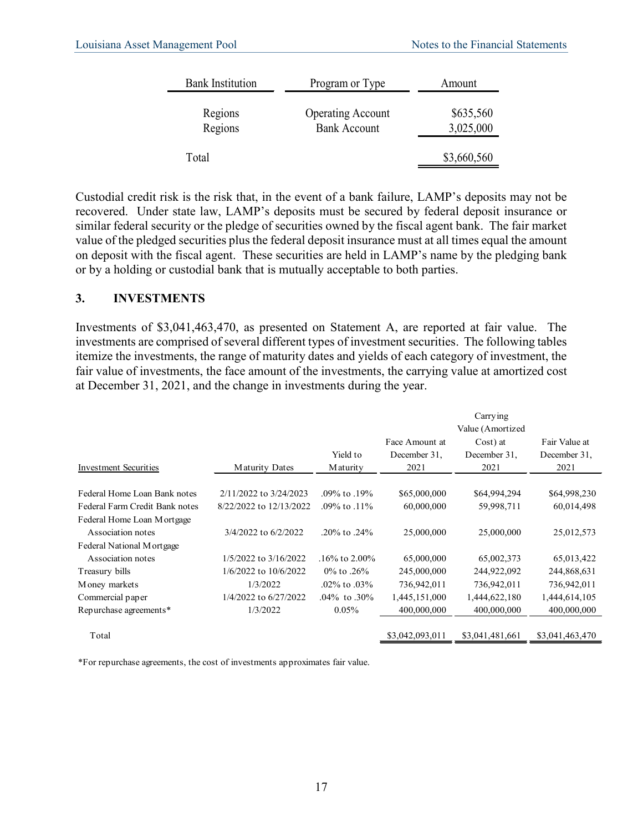| <b>Bank Institution</b> | Program or Type                                 | Amount                 |
|-------------------------|-------------------------------------------------|------------------------|
| Regions<br>Regions      | <b>Operating Account</b><br><b>Bank Account</b> | \$635,560<br>3,025,000 |
| Total                   |                                                 | \$3,660,560            |

Custodial credit risk is the risk that, in the event of a bank failure, LAMP's deposits may not be recovered. Under state law, LAMP's deposits must be secured by federal deposit insurance or similar federal security or the pledge of securities owned by the fiscal agent bank. The fair market value of the pledged securities plus the federal deposit insurance must at all times equal the amount on deposit with the fiscal agent. These securities are held in LAMP's name by the pledging bank or by a holding or custodial bank that is mutually acceptable to both parties.

### **3. INVESTMENTS**

Investments of \$3,041,463,470, as presented on Statement A, are reported at fair value. The investments are comprised of several different types of investment securities. The following tables itemize the investments, the range of maturity dates and yields of each category of investment, the fair value of investments, the face amount of the investments, the carrying value at amortized cost at December 31, 2021, and the change in investments during the year.

|                                |                         |                  |                 | Carrying         |                 |
|--------------------------------|-------------------------|------------------|-----------------|------------------|-----------------|
|                                |                         |                  |                 | Value (Amortized |                 |
|                                |                         |                  | Face Amount at  | $Cost)$ at       | Fair Value at   |
|                                |                         | Yield to         | December 31,    | December 31,     | December 31,    |
| <b>Investment Securities</b>   | Maturity Dates          | <b>Maturity</b>  | 2021            | 2021             | 2021            |
|                                |                         |                  |                 |                  |                 |
| Federal Home Loan Bank notes   | 2/11/2022 to 3/24/2023  | .09% to .19%     | \$65,000,000    | \$64,994,294     | \$64,998,230    |
| Federal Farm Credit Bank notes | 8/22/2022 to 12/13/2022 | .09% to .11%     | 60,000,000      | 59,998,711       | 60,014,498      |
| Federal Home Loan Mortgage     |                         |                  |                 |                  |                 |
| Association notes              | 3/4/2022 to 6/2/2022    | .20% to .24%     | 25,000,000      | 25,000,000       | 25,012,573      |
| Federal National Mortgage      |                         |                  |                 |                  |                 |
| Association notes              | 1/5/2022 to 3/16/2022   | .16% to $2.00\%$ | 65,000,000      | 65,002,373       | 65,013,422      |
| Treasury bills                 | 1/6/2022 to 10/6/2022   | $0\%$ to .26%    | 245,000,000     | 244,922,092      | 244,868,631     |
| Money markets                  | 1/3/2022                | .02% to .03%     | 736,942,011     | 736,942,011      | 736,942,011     |
| Commercial paper               | 1/4/2022 to 6/27/2022   | .04% to .30%     | 1,445,151,000   | 1,444,622,180    | 1,444,614,105   |
| Repurchase agreements*         | 1/3/2022                | $0.05\%$         | 400,000,000     | 400,000,000      | 400,000,000     |
|                                |                         |                  |                 |                  |                 |
| Total                          |                         |                  | \$3,042,093,011 | \$3,041,481,661  | \$3,041,463,470 |

\*For repurchase agreements, the cost of investments approximates fair value.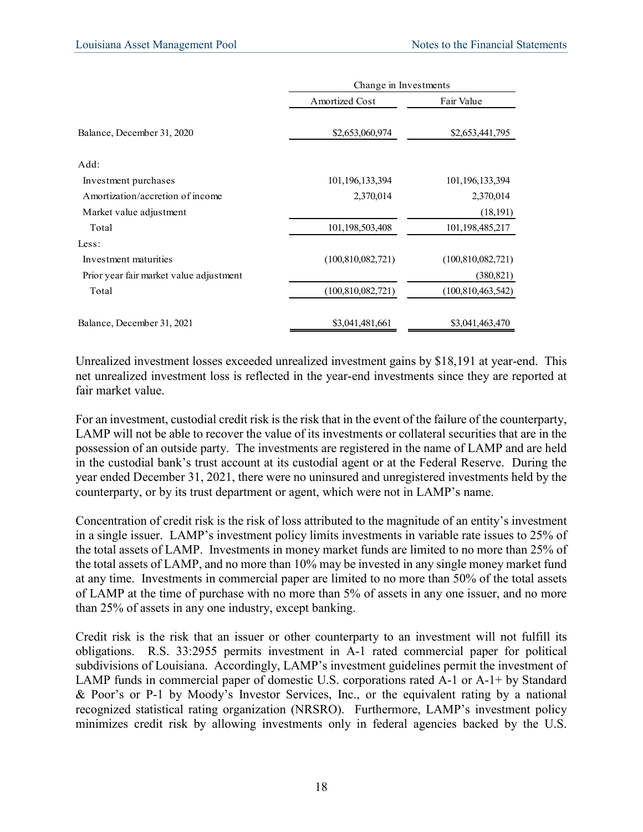|                                         | Change in Investments |                      |  |
|-----------------------------------------|-----------------------|----------------------|--|
|                                         | Amortized Cost        | Fair Value           |  |
| Balance, December 31, 2020              | \$2,653,060,974       | \$2,653,441,795      |  |
| Add:                                    |                       |                      |  |
| Investment purchases                    | 101, 196, 133, 394    | 101, 196, 133, 394   |  |
| Amortization/accretion of income        | 2,370,014             | 2,370,014            |  |
| Market value adjustment                 |                       | (18, 191)            |  |
| Total                                   | 101,198,503,408       | 101,198,485,217      |  |
| Less:                                   |                       |                      |  |
| Investment maturities                   | (100, 810, 082, 721)  | (100, 810, 082, 721) |  |
| Prior year fair market value adjustment |                       | (380, 821)           |  |
| Total                                   | (100, 810, 082, 721)  | (100, 810, 463, 542) |  |
| Balance, December 31, 2021              | \$3,041,481,661       | \$3,041,463,470      |  |

Unrealized investment losses exceeded unrealized investment gains by \$18,191 at year-end. This net unrealized investment loss is reflected in the year-end investments since they are reported at fair market value.

For an investment, custodial credit risk is the risk that in the event of the failure of the counterparty, LAMP will not be able to recover the value of its investments or collateral securities that are in the possession of an outside party. The investments are registered in the name of LAMP and are held in the custodial bank's trust account at its custodial agent or at the Federal Reserve. During the year ended December 31, 2021, there were no uninsured and unregistered investments held by the counterparty, or by its trust department or agent, which were not in LAMP's name.

Concentration of credit risk is the risk of loss attributed to the magnitude of an entity's investment in a single issuer. LAMP's investment policy limits investments in variable rate issues to 25% of the total assets of LAMP. Investments in money market funds are limited to no more than 25% of the total assets of LAMP, and no more than 10% may be invested in any single money market fund at any time. Investments in commercial paper are limited to no more than 50% of the total assets of LAMP at the time of purchase with no more than 5% of assets in any one issuer, and no more than 25% of assets in any one industry, except banking.

Credit risk is the risk that an issuer or other counterparty to an investment will not fulfill its obligations. R.S. 33:2955 permits investment in A-1 rated commercial paper for political subdivisions of Louisiana. Accordingly, LAMP's investment guidelines permit the investment of LAMP funds in commercial paper of domestic U.S. corporations rated A-1 or A-1+ by Standard & Poor's or P-1 by Moody's Investor Services, Inc., or the equivalent rating by a national recognized statistical rating organization (NRSRO). Furthermore, LAMP's investment policy minimizes credit risk by allowing investments only in federal agencies backed by the U.S.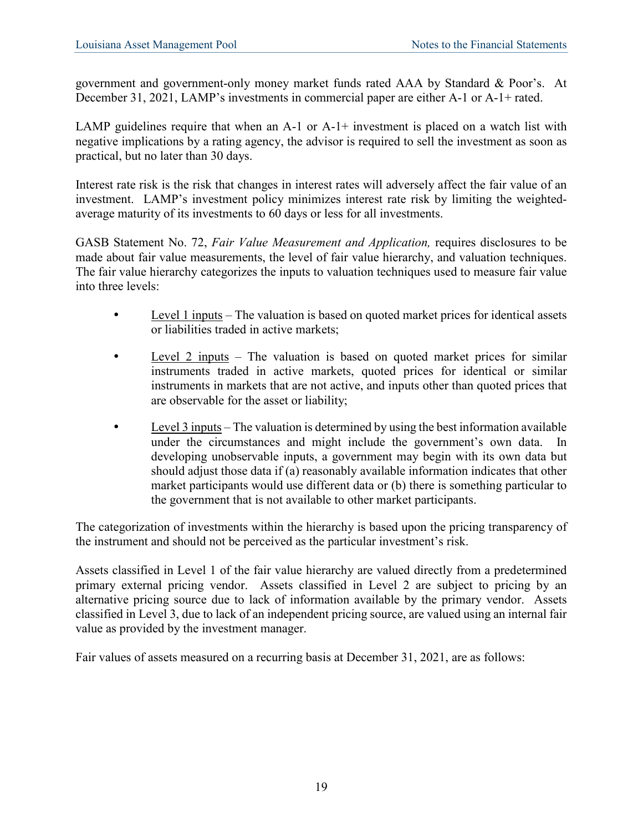government and government-only money market funds rated AAA by Standard & Poor's. At December 31, 2021, LAMP's investments in commercial paper are either A-1 or A-1+ rated.

LAMP guidelines require that when an A-1 or A-1+ investment is placed on a watch list with negative implications by a rating agency, the advisor is required to sell the investment as soon as practical, but no later than 30 days.

Interest rate risk is the risk that changes in interest rates will adversely affect the fair value of an investment. LAMP's investment policy minimizes interest rate risk by limiting the weightedaverage maturity of its investments to 60 days or less for all investments.

GASB Statement No. 72, *Fair Value Measurement and Application,* requires disclosures to be made about fair value measurements, the level of fair value hierarchy, and valuation techniques. The fair value hierarchy categorizes the inputs to valuation techniques used to measure fair value into three levels:

- Level 1 inputs The valuation is based on quoted market prices for identical assets or liabilities traded in active markets;
- Level 2 inputs The valuation is based on quoted market prices for similar instruments traded in active markets, quoted prices for identical or similar instruments in markets that are not active, and inputs other than quoted prices that are observable for the asset or liability;
- Level 3 inputs The valuation is determined by using the best information available under the circumstances and might include the government's own data. In developing unobservable inputs, a government may begin with its own data but should adjust those data if (a) reasonably available information indicates that other market participants would use different data or (b) there is something particular to the government that is not available to other market participants.

The categorization of investments within the hierarchy is based upon the pricing transparency of the instrument and should not be perceived as the particular investment's risk.

Assets classified in Level 1 of the fair value hierarchy are valued directly from a predetermined primary external pricing vendor. Assets classified in Level 2 are subject to pricing by an alternative pricing source due to lack of information available by the primary vendor. Assets classified in Level 3, due to lack of an independent pricing source, are valued using an internal fair value as provided by the investment manager.

Fair values of assets measured on a recurring basis at December 31, 2021, are as follows: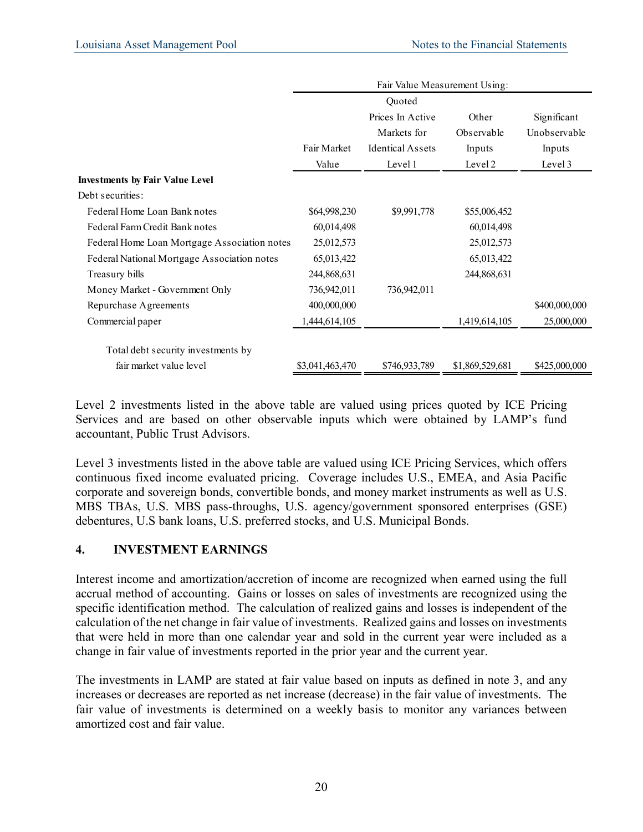|                                              | Fair Value Measurement Using: |                         |                 |               |
|----------------------------------------------|-------------------------------|-------------------------|-----------------|---------------|
|                                              | Quoted                        |                         |                 |               |
|                                              |                               | Prices In Active        | Other           | Significant   |
|                                              |                               | Markets for             | Observable      | Unobservable  |
|                                              | Fair Market                   | <b>Identical Assets</b> | Inputs          | Inputs        |
|                                              | Value                         | Level 1                 | Level 2         | Level 3       |
| <b>Investments by Fair Value Level</b>       |                               |                         |                 |               |
| Debt securities:                             |                               |                         |                 |               |
| Federal Home Loan Bank notes                 | \$64,998,230                  | \$9,991,778             | \$55,006,452    |               |
| Federal Farm Credit Bank notes               | 60,014,498                    |                         | 60,014,498      |               |
| Federal Home Loan Mortgage Association notes | 25,012,573                    |                         | 25,012,573      |               |
| Federal National Mortgage Association notes  | 65,013,422                    |                         | 65,013,422      |               |
| Treasury bills                               | 244,868,631                   |                         | 244,868,631     |               |
| Money Market - Government Only               | 736,942,011                   | 736,942,011             |                 |               |
| Repurchase Agreements                        | 400,000,000                   |                         |                 | \$400,000,000 |
| Commercial paper                             | 1,444,614,105                 |                         | 1,419,614,105   | 25,000,000    |
| Total debt security investments by           |                               |                         |                 |               |
| fair market value level                      | \$3,041,463,470               | \$746,933,789           | \$1,869,529,681 | \$425,000,000 |

Level 2 investments listed in the above table are valued using prices quoted by ICE Pricing Services and are based on other observable inputs which were obtained by LAMP's fund accountant, Public Trust Advisors.

Level 3 investments listed in the above table are valued using ICE Pricing Services, which offers continuous fixed income evaluated pricing. Coverage includes U.S., EMEA, and Asia Pacific corporate and sovereign bonds, convertible bonds, and money market instruments as well as U.S. MBS TBAs, U.S. MBS pass-throughs, U.S. agency/government sponsored enterprises (GSE) debentures, U.S bank loans, U.S. preferred stocks, and U.S. Municipal Bonds.

# **4. INVESTMENT EARNINGS**

Interest income and amortization/accretion of income are recognized when earned using the full accrual method of accounting. Gains or losses on sales of investments are recognized using the specific identification method. The calculation of realized gains and losses is independent of the calculation of the net change in fair value of investments. Realized gains and losses on investments that were held in more than one calendar year and sold in the current year were included as a change in fair value of investments reported in the prior year and the current year.

The investments in LAMP are stated at fair value based on inputs as defined in note 3, and any increases or decreases are reported as net increase (decrease) in the fair value of investments. The fair value of investments is determined on a weekly basis to monitor any variances between amortized cost and fair value.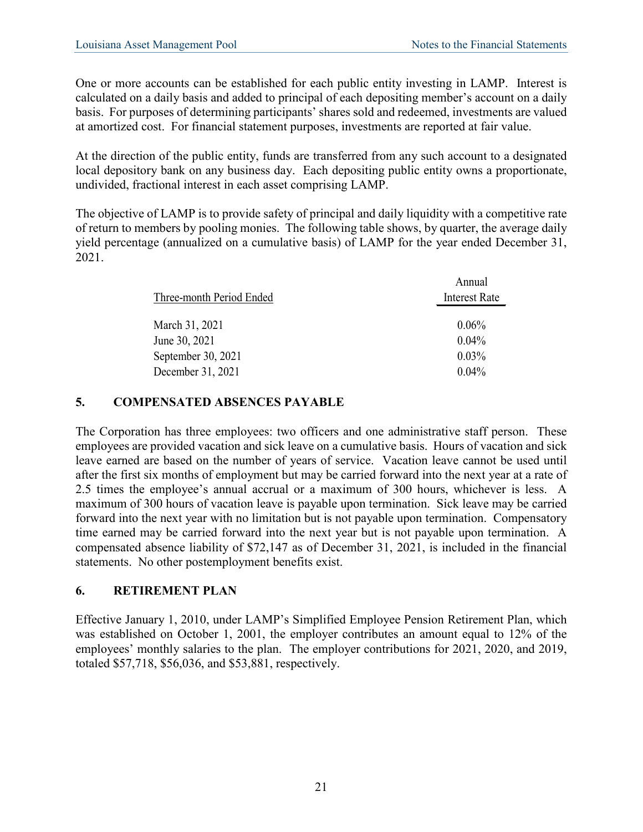One or more accounts can be established for each public entity investing in LAMP. Interest is calculated on a daily basis and added to principal of each depositing member's account on a daily basis. For purposes of determining participants' shares sold and redeemed, investments are valued at amortized cost. For financial statement purposes, investments are reported at fair value.

At the direction of the public entity, funds are transferred from any such account to a designated local depository bank on any business day. Each depositing public entity owns a proportionate, undivided, fractional interest in each asset comprising LAMP.

The objective of LAMP is to provide safety of principal and daily liquidity with a competitive rate of return to members by pooling monies. The following table shows, by quarter, the average daily yield percentage (annualized on a cumulative basis) of LAMP for the year ended December 31, 2021.

| Annual        |
|---------------|
| Interest Rate |
|               |
| 0.06%         |
| 0.04%         |
| 0.03%         |
| $0.04\%$      |
|               |

# **5. COMPENSATED ABSENCES PAYABLE**

The Corporation has three employees: two officers and one administrative staff person. These employees are provided vacation and sick leave on a cumulative basis. Hours of vacation and sick leave earned are based on the number of years of service. Vacation leave cannot be used until after the first six months of employment but may be carried forward into the next year at a rate of 2.5 times the employee's annual accrual or a maximum of 300 hours, whichever is less. A maximum of 300 hours of vacation leave is payable upon termination. Sick leave may be carried forward into the next year with no limitation but is not payable upon termination. Compensatory time earned may be carried forward into the next year but is not payable upon termination. A compensated absence liability of \$72,147 as of December 31, 2021, is included in the financial statements. No other postemployment benefits exist.

# **6. RETIREMENT PLAN**

Effective January 1, 2010, under LAMP's Simplified Employee Pension Retirement Plan, which was established on October 1, 2001, the employer contributes an amount equal to 12% of the employees' monthly salaries to the plan. The employer contributions for 2021, 2020, and 2019, totaled \$57,718, \$56,036, and \$53,881, respectively.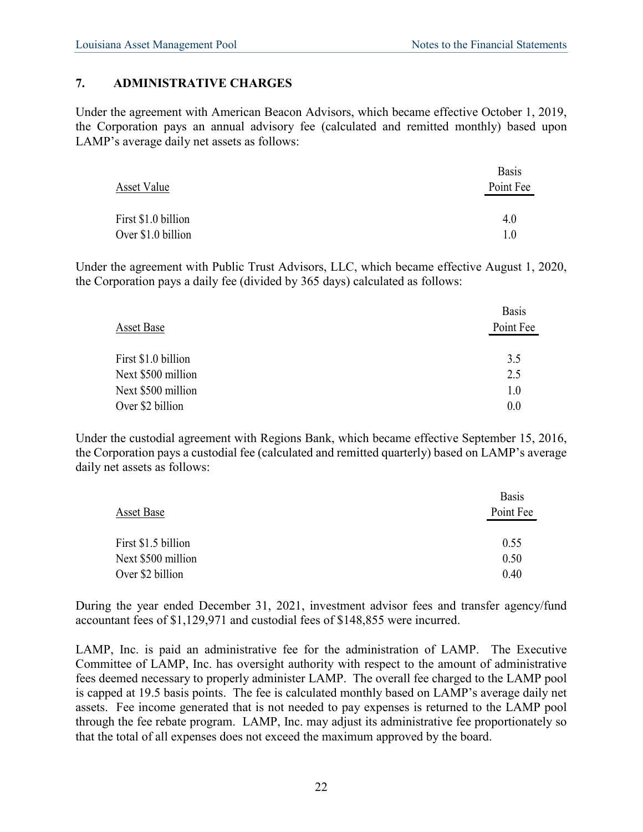# **7. ADMINISTRATIVE CHARGES**

Under the agreement with American Beacon Advisors, which became effective October 1, 2019, the Corporation pays an annual advisory fee (calculated and remitted monthly) based upon LAMP's average daily net assets as follows:

| Asset Value         | <b>Basis</b><br>Point Fee |
|---------------------|---------------------------|
| First \$1.0 billion | 4.0                       |
| Over \$1.0 billion  | 1.0                       |

Under the agreement with Public Trust Advisors, LLC, which became effective August 1, 2020, the Corporation pays a daily fee (divided by 365 days) calculated as follows:

| <b>Basis</b> |
|--------------|
| Point Fee    |
| 3.5          |
| 2.5          |
| 1.0          |
| 0.0          |
|              |

Under the custodial agreement with Regions Bank, which became effective September 15, 2016, the Corporation pays a custodial fee (calculated and remitted quarterly) based on LAMP's average daily net assets as follows:

|                     | <b>Basis</b> |
|---------------------|--------------|
| Asset Base          | Point Fee    |
| First \$1.5 billion | 0.55         |
| Next \$500 million  | 0.50         |
| Over \$2 billion    | 0.40         |

During the year ended December 31, 2021, investment advisor fees and transfer agency/fund accountant fees of \$1,129,971 and custodial fees of \$148,855 were incurred.

LAMP, Inc. is paid an administrative fee for the administration of LAMP. The Executive Committee of LAMP, Inc. has oversight authority with respect to the amount of administrative fees deemed necessary to properly administer LAMP. The overall fee charged to the LAMP pool is capped at 19.5 basis points. The fee is calculated monthly based on LAMP's average daily net assets. Fee income generated that is not needed to pay expenses is returned to the LAMP pool through the fee rebate program. LAMP, Inc. may adjust its administrative fee proportionately so that the total of all expenses does not exceed the maximum approved by the board.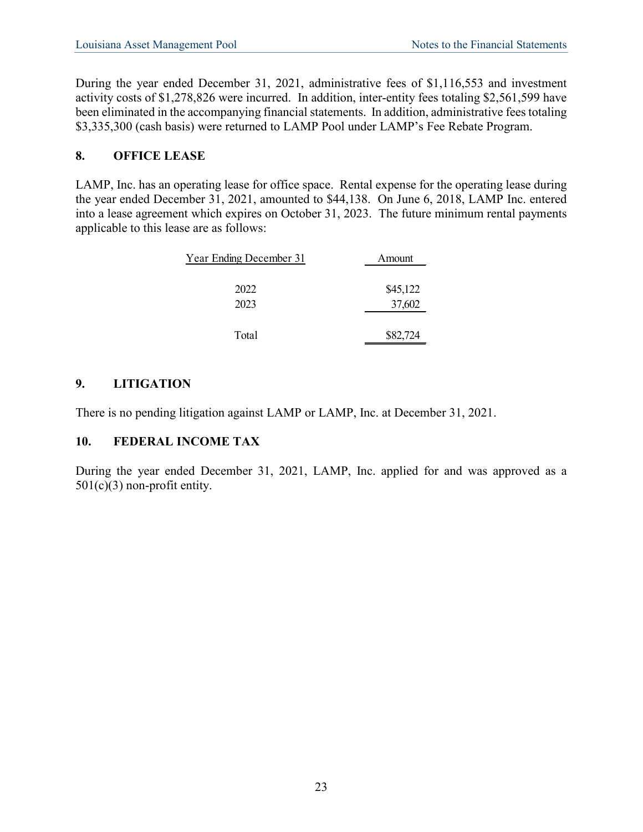During the year ended December 31, 2021, administrative fees of \$1,116,553 and investment activity costs of \$1,278,826 were incurred. In addition, inter-entity fees totaling \$2,561,599 have been eliminated in the accompanying financial statements. In addition, administrative fees totaling \$3,335,300 (cash basis) were returned to LAMP Pool under LAMP's Fee Rebate Program.

## **8. OFFICE LEASE**

LAMP, Inc. has an operating lease for office space. Rental expense for the operating lease during the year ended December 31, 2021, amounted to \$44,138. On June 6, 2018, LAMP Inc. entered into a lease agreement which expires on October 31, 2023. The future minimum rental payments applicable to this lease are as follows:

| Year Ending December 31 | Amount   |
|-------------------------|----------|
| 2022                    | \$45,122 |
| 2023                    | 37,602   |
| Total                   | \$82,724 |

# **9. LITIGATION**

There is no pending litigation against LAMP or LAMP, Inc. at December 31, 2021.

# **10. FEDERAL INCOME TAX**

During the year ended December 31, 2021, LAMP, Inc. applied for and was approved as a  $501(c)(3)$  non-profit entity.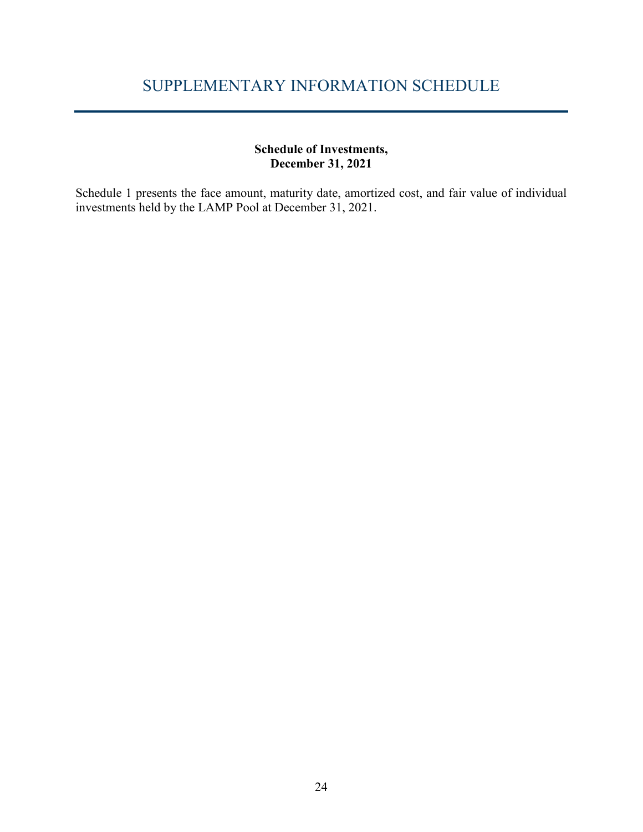# **Schedule of Investments, December 31, 2021**

Schedule 1 presents the face amount, maturity date, amortized cost, and fair value of individual investments held by the LAMP Pool at December 31, 2021.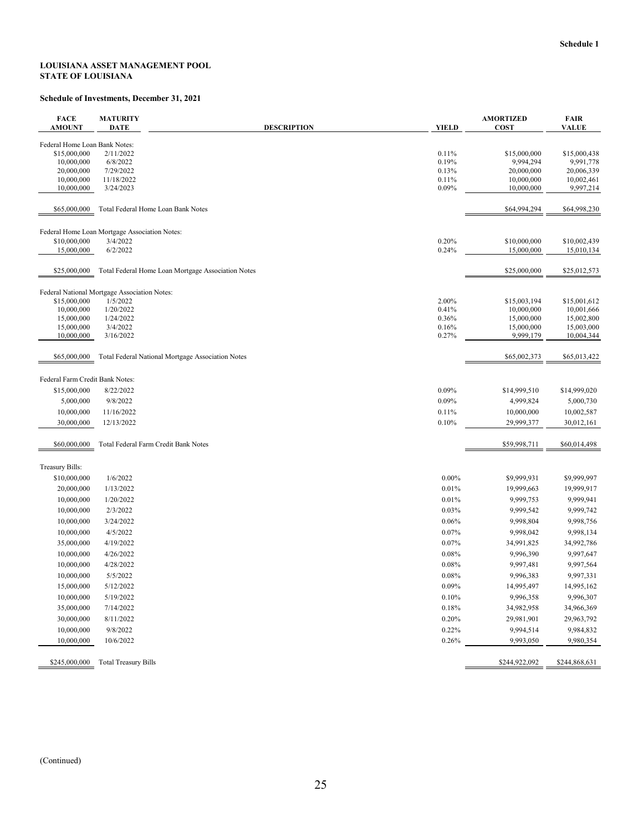#### **LOUISIANA ASSET MANAGEMENT POOL STATE OF LOUISIANA**

#### **Schedule of Investments, December 31, 2021**

| <b>FACE</b><br><b>AMOUNT</b>    | <b>MATURITY</b><br>DATE                       | <b>DESCRIPTION</b>                                 | <b>YIELD</b>   | <b>AMORTIZED</b><br><b>COST</b> | <b>FAIR</b><br><b>VALUE</b> |
|---------------------------------|-----------------------------------------------|----------------------------------------------------|----------------|---------------------------------|-----------------------------|
| Federal Home Loan Bank Notes:   |                                               |                                                    |                |                                 |                             |
| \$15,000,000                    | 2/11/2022                                     |                                                    | 0.11%          | \$15,000,000                    | \$15,000,438                |
| 10,000,000                      | 6/8/2022                                      |                                                    | 0.19%          | 9,994,294                       | 9,991,778                   |
| 20,000,000                      | 7/29/2022                                     |                                                    | 0.13%          | 20,000,000                      | 20,006,339                  |
| 10,000,000                      | 11/18/2022                                    |                                                    | 0.11%          | 10,000,000                      | 10,002,461                  |
| 10,000,000                      | 3/24/2023                                     |                                                    | 0.09%          | 10,000,000                      | 9,997,214                   |
| \$65,000,000                    | Total Federal Home Loan Bank Notes            |                                                    |                | \$64,994,294                    | \$64,998,230                |
|                                 | Federal Home Loan Mortgage Association Notes: |                                                    |                |                                 |                             |
| \$10,000,000                    | 3/4/2022                                      |                                                    | 0.20%          | \$10,000,000                    | \$10,002,439                |
| 15,000,000                      | 6/2/2022                                      |                                                    | 0.24%          | 15,000,000                      | 15,010,134                  |
| \$25,000,000                    |                                               | Total Federal Home Loan Mortgage Association Notes |                | \$25,000,000                    | \$25,012,573                |
|                                 | Federal National Mortgage Association Notes:  |                                                    |                |                                 |                             |
| \$15,000,000                    | 1/5/2022                                      |                                                    | 2.00%          | \$15,003,194                    | \$15,001,612                |
| 10,000,000                      | 1/20/2022                                     |                                                    | 0.41%          | 10,000,000                      | 10,001,666                  |
| 15,000,000                      | 1/24/2022                                     |                                                    | 0.36%          | 15,000,000                      | 15,002,800                  |
| 15,000,000<br>10,000,000        | 3/4/2022<br>3/16/2022                         |                                                    | 0.16%<br>0.27% | 15,000,000<br>9,999,179         | 15,003,000<br>10,004,344    |
|                                 |                                               |                                                    |                |                                 |                             |
| \$65,000,000                    |                                               | Total Federal National Mortgage Association Notes  |                | \$65,002,373                    | \$65,013,422                |
| Federal Farm Credit Bank Notes: |                                               |                                                    |                |                                 |                             |
| \$15,000,000                    | 8/22/2022                                     |                                                    | 0.09%          | \$14,999,510                    | \$14,999,020                |
| 5,000,000                       | 9/8/2022                                      |                                                    | 0.09%          | 4,999,824                       | 5,000,730                   |
| 10,000,000                      | 11/16/2022                                    |                                                    | 0.11%          | 10,000,000                      | 10,002,587                  |
| 30,000,000                      | 12/13/2022                                    |                                                    | 0.10%          | 29,999,377                      | 30,012,161                  |
| \$60,000,000                    | Total Federal Farm Credit Bank Notes          |                                                    |                | \$59,998,711                    | \$60,014,498                |
|                                 |                                               |                                                    |                |                                 |                             |
| Treasury Bills:<br>\$10,000,000 | 1/6/2022                                      |                                                    | $0.00\%$       | \$9,999,931                     | \$9,999,997                 |
| 20,000,000                      | 1/13/2022                                     |                                                    | 0.01%          | 19,999,663                      | 19,999,917                  |
| 10,000,000                      | 1/20/2022                                     |                                                    | 0.01%          | 9,999,753                       | 9,999,941                   |
| 10,000,000                      | 2/3/2022                                      |                                                    | 0.03%          | 9,999,542                       | 9,999,742                   |
| 10,000,000                      | 3/24/2022                                     |                                                    | 0.06%          | 9,998,804                       | 9,998,756                   |
| 10,000,000                      | 4/5/2022                                      |                                                    | 0.07%          | 9,998,042                       | 9,998,134                   |
| 35,000,000                      | 4/19/2022                                     |                                                    | 0.07%          | 34,991,825                      | 34,992,786                  |
| 10,000,000                      | 4/26/2022                                     |                                                    | 0.08%          | 9,996,390                       | 9,997,647                   |
| 10,000,000                      | 4/28/2022                                     |                                                    | 0.08%          | 9,997,481                       | 9,997,564                   |
|                                 |                                               |                                                    |                |                                 | 9,997,331                   |
| 10,000,000                      | 5/5/2022                                      |                                                    | 0.08%          | 9,996,383                       |                             |
| 15,000,000                      | 5/12/2022                                     |                                                    | $0.09\%$       | 14,995,497                      | 14,995,162                  |
| 10,000,000                      | 5/19/2022                                     |                                                    | 0.10%          | 9,996,358                       | 9,996,307                   |
| 35,000,000                      | 7/14/2022                                     |                                                    | 0.18%          | 34,982,958                      | 34,966,369                  |
| 30,000,000                      | 8/11/2022                                     |                                                    | 0.20%          | 29,981,901                      | 29,963,792                  |
| 10,000,000                      | 9/8/2022                                      |                                                    | 0.22%          | 9,994,514                       | 9,984,832                   |
| 10,000,000                      | 10/6/2022                                     |                                                    | 0.26%          | 9,993,050                       | 9,980,354                   |
| \$245,000,000                   | <b>Total Treasury Bills</b>                   |                                                    |                | \$244,922,092                   | \$244,868,631               |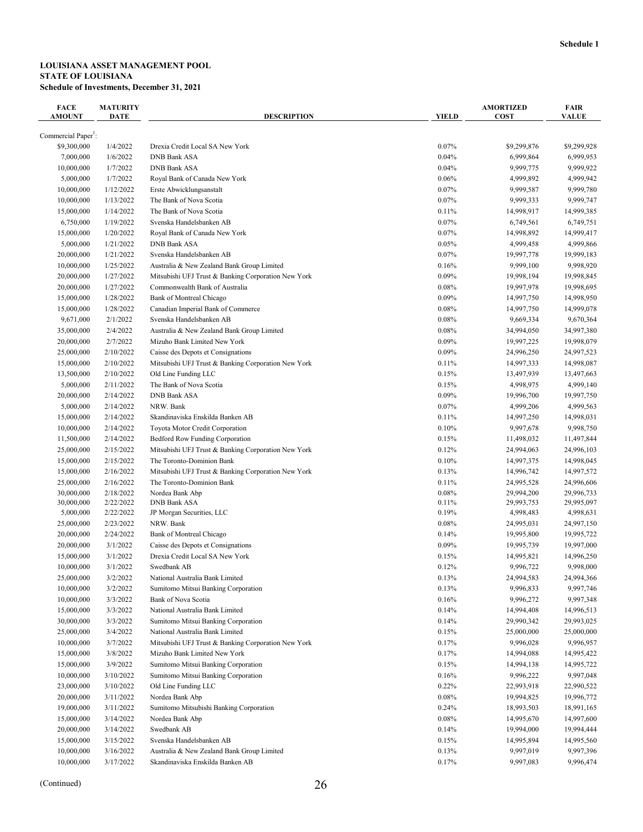#### **LOUISIANA ASSET MANAGEMENT POOL STATE OF LOUISIANA Schedule of Investments, December 31, 2021**

| FACE<br><b>AMOUNT</b>           | MATURITY<br>DATE       | <b>DESCRIPTION</b>                                             | <b>YIELD</b>   | AMORTIZED<br><b>COST</b> | FAIR<br><b>VALUE</b>     |
|---------------------------------|------------------------|----------------------------------------------------------------|----------------|--------------------------|--------------------------|
| Commercial Paper <sup>1</sup> : |                        |                                                                |                |                          |                          |
| \$9,300,000                     | 1/4/2022               | Drexia Credit Local SA New York                                | 0.07%          | \$9,299,876              | \$9,299,928              |
| 7,000,000                       | 1/6/2022               | <b>DNB Bank ASA</b>                                            | 0.04%          | 6,999,864                | 6,999,953                |
| 10,000,000                      | 1/7/2022               | <b>DNB Bank ASA</b>                                            | 0.04%          | 9,999,775                | 9,999,922                |
| 5,000,000                       | 1/7/2022               | Royal Bank of Canada New York                                  | 0.06%          | 4,999,892                | 4,999,942                |
| 10,000,000                      | 1/12/2022              | Erste Abwicklungsanstalt                                       | 0.07%          | 9,999,587                | 9,999,780                |
| 10,000,000                      | 1/13/2022              | The Bank of Nova Scotia                                        | 0.07%          | 9,999,333                | 9,999,747                |
| 15,000,000                      | 1/14/2022              | The Bank of Nova Scotia                                        | 0.11%          | 14,998,917               | 14,999,385               |
| 6,750,000                       | 1/19/2022              | Svenska Handelsbanken AB                                       | 0.07%          | 6,749,561                | 6,749,751                |
| 15,000,000                      | 1/20/2022              | Royal Bank of Canada New York                                  | 0.07%          | 14,998,892               | 14,999,417               |
| 5,000,000                       | 1/21/2022              | <b>DNB Bank ASA</b>                                            | 0.05%          | 4,999,458                | 4,999,866                |
| 20,000,000                      | 1/21/2022              | Svenska Handelsbanken AB                                       | 0.07%          | 19,997,778               | 19,999,183               |
| 10,000,000                      | 1/25/2022              | Australia & New Zealand Bank Group Limited                     | 0.16%          | 9,999,100                | 9,998,920                |
| 20,000,000                      | 1/27/2022              | Mitsubishi UFJ Trust & Banking Corporation New York            | 0.09%          | 19,998,194               | 19,998,845               |
| 20,000,000                      | 1/27/2022              | Commonwealth Bank of Australia                                 | 0.08%          | 19,997,978               | 19,998,695               |
| 15,000,000                      | 1/28/2022              | Bank of Montreal Chicago                                       | 0.09%          | 14,997,750               | 14,998,950               |
| 15,000,000                      | 1/28/2022              | Canadian Imperial Bank of Commerce                             | 0.08%          | 14,997,750               | 14,999,078               |
| 9,671,000                       | 2/1/2022               | Svenska Handelsbanken AB                                       | 0.08%          | 9,669,334                | 9,670,364                |
| 35,000,000                      | 2/4/2022               | Australia & New Zealand Bank Group Limited                     | 0.08%          | 34,994,050               | 34,997,380               |
| 20,000,000                      | 2/7/2022               | Mizuho Bank Limited New York                                   | 0.09%          | 19,997,225               | 19,998,079               |
| 25,000,000                      | 2/10/2022              | Caisse des Depots et Consignations                             | 0.09%          | 24,996,250               | 24,997,523               |
| 15,000,000                      | 2/10/2022              | Mitsubishi UFJ Trust & Banking Corporation New York            | 0.11%          | 14,997,333               | 14,998,087               |
| 13,500,000                      | 2/10/2022              | Old Line Funding LLC                                           | 0.15%          | 13,497,939               | 13,497,663               |
| 5,000,000                       | 2/11/2022              | The Bank of Nova Scotia                                        | 0.15%          | 4,998,975                | 4,999,140                |
| 20,000,000                      | 2/14/2022              | <b>DNB Bank ASA</b>                                            | 0.09%          | 19,996,700               | 19,997,750               |
| 5,000,000                       | 2/14/2022              | NRW. Bank                                                      | 0.07%          | 4,999,206                | 4,999,563                |
| 15,000,000                      | 2/14/2022              | Skandinaviska Enskilda Banken AB                               | 0.11%          | 14,997,250               | 14,998,031               |
| 10,000,000                      | 2/14/2022              | Toyota Motor Credit Corporation                                | 0.10%          | 9,997,678                | 9,998,750                |
| 11,500,000                      | 2/14/2022              | Bedford Row Funding Corporation                                | 0.15%          | 11,498,032               | 11,497,844               |
| 25,000,000                      | 2/15/2022              | Mitsubishi UFJ Trust & Banking Corporation New York            | 0.12%          | 24,994,063               | 24,996,103               |
| 15,000,000                      | 2/15/2022              | The Toronto-Dominion Bank                                      | 0.10%          | 14,997,375               | 14,998,045               |
| 15,000,000                      | 2/16/2022              | Mitsubishi UFJ Trust & Banking Corporation New York            | 0.13%          | 14,996,742               | 14,997,572               |
| 25,000,000                      | 2/16/2022              | The Toronto-Dominion Bank                                      | 0.11%          | 24,995,528               | 24,996,606               |
| 30,000,000                      | 2/18/2022              | Nordea Bank Abp                                                | 0.08%          | 29,994,200               | 29,996,733               |
| 30,000,000                      | 2/22/2022              | DNB Bank ASA                                                   | 0.11%          | 29,993,753               | 29,995,097               |
| 5,000,000                       | 2/22/2022              | JP Morgan Securities, LLC                                      | 0.19%          | 4,998,483                | 4,998,631                |
| 25,000,000                      | 2/23/2022<br>2/24/2022 | NRW. Bank                                                      | 0.08%          | 24,995,031               | 24,997,150<br>19,995,722 |
| 20,000,000                      |                        | Bank of Montreal Chicago<br>Caisse des Depots et Consignations | 0.14%<br>0.09% | 19,995,800               |                          |
| 20,000,000                      | 3/1/2022<br>3/1/2022   | Drexia Credit Local SA New York                                | 0.15%          | 19,995,739               | 19,997,000               |
| 15,000,000<br>10,000,000        | 3/1/2022               | Swedbank AB                                                    | 0.12%          | 14,995,821<br>9,996,722  | 14,996,250<br>9,998,000  |
| 25,000,000                      | 3/2/2022               | National Australia Bank Limited                                | 0.13%          | 24,994,583               | 24,994,366               |
| 10,000,000                      | 3/2/2022               | Sumitomo Mitsui Banking Corporation                            | 0.13%          | 9,996,833                | 9,997,746                |
| 10,000,000                      | 3/3/2022               | Bank of Nova Scotia                                            | 0.16%          | 9,996,272                | 9,997,348                |
| 15,000,000                      | 3/3/2022               | National Australia Bank Limited                                | 0.14%          | 14,994,408               | 14,996,513               |
| 30,000,000                      | 3/3/2022               | Sumitomo Mitsui Banking Corporation                            | 0.14%          | 29,990,342               | 29,993,025               |
| 25,000,000                      | 3/4/2022               | National Australia Bank Limited                                | 0.15%          | 25,000,000               | 25,000,000               |
| 10,000,000                      | 3/7/2022               | Mitsubishi UFJ Trust & Banking Corporation New York            | 0.17%          | 9,996,028                | 9,996,957                |
| 15,000,000                      | 3/8/2022               | Mizuho Bank Limited New York                                   | 0.17%          | 14,994,088               | 14,995,422               |
| 15,000,000                      | 3/9/2022               | Sumitomo Mitsui Banking Corporation                            | 0.15%          | 14,994,138               | 14,995,722               |
| 10,000,000                      | 3/10/2022              | Sumitomo Mitsui Banking Corporation                            | 0.16%          | 9,996,222                | 9,997,048                |
| 23,000,000                      | 3/10/2022              | Old Line Funding LLC                                           | 0.22%          | 22,993,918               | 22,990,522               |
| 20,000,000                      | 3/11/2022              | Nordea Bank Abp                                                | 0.08%          | 19,994,825               | 19,996,772               |
| 19,000,000                      | 3/11/2022              | Sumitomo Mitsubishi Banking Corporation                        | 0.24%          | 18,993,503               | 18,991,165               |
| 15,000,000                      | 3/14/2022              | Nordea Bank Abp                                                | 0.08%          | 14,995,670               | 14,997,600               |
| 20,000,000                      | 3/14/2022              | Swedbank AB                                                    | 0.14%          | 19,994,000               | 19,994,444               |
| 15,000,000                      | 3/15/2022              | Svenska Handelsbanken AB                                       | 0.15%          | 14,995,894               | 14,995,560               |
| 10,000,000                      | 3/16/2022              | Australia & New Zealand Bank Group Limited                     | 0.13%          | 9,997,019                | 9,997,396                |
| 10,000,000                      | 3/17/2022              | Skandinaviska Enskilda Banken AB                               | 0.17%          | 9,997,083                | 9,996,474                |
|                                 |                        |                                                                |                |                          |                          |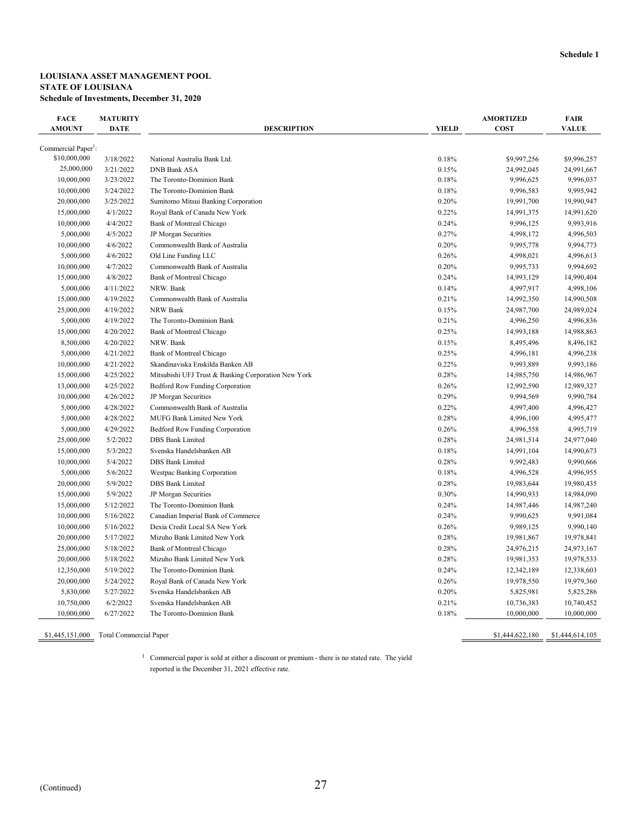#### **LOUISIANA ASSET MANAGEMENT POOL STATE OF LOUISIANA**

|  | Schedule of Investments, December 31, 2020 |
|--|--------------------------------------------|
|--|--------------------------------------------|

| <b>FACE</b>                                     | <b>MATURITY</b>        |                                                     |                | <b>AMORTIZED</b>          | <b>FAIR</b>               |
|-------------------------------------------------|------------------------|-----------------------------------------------------|----------------|---------------------------|---------------------------|
| <b>AMOUNT</b>                                   | <b>DATE</b>            | <b>DESCRIPTION</b>                                  | <b>YIELD</b>   | <b>COST</b>               | <b>VALUE</b>              |
|                                                 |                        |                                                     |                |                           |                           |
| Commercial Paper <sup>1</sup> :<br>\$10,000,000 |                        |                                                     |                |                           |                           |
| 25,000,000                                      | 3/18/2022<br>3/21/2022 | National Australia Bank Ltd.<br><b>DNB Bank ASA</b> | 0.18%<br>0.15% | \$9,997,256<br>24,992,045 | \$9,996,257<br>24,991,667 |
| 10,000,000                                      | 3/23/2022              | The Toronto-Dominion Bank                           | 0.18%          | 9,996,625                 | 9,996,037                 |
| 10,000,000                                      | 3/24/2022              | The Toronto-Dominion Bank                           | 0.18%          |                           | 9,995,942                 |
| 20,000,000                                      | 3/25/2022              |                                                     | 0.20%          | 9,996,583<br>19,991,700   | 19,990,947                |
|                                                 |                        | Sumitomo Mitsui Banking Corporation                 | 0.22%          |                           |                           |
| 15,000,000                                      | 4/1/2022               | Royal Bank of Canada New York                       | 0.24%          | 14,991,375                | 14,991,620                |
| 10,000,000<br>5,000,000                         | 4/4/2022<br>4/5/2022   | Bank of Montreal Chicago                            | 0.27%          | 9,996,125<br>4,998,172    | 9,993,916<br>4,996,503    |
| 10,000,000                                      | 4/6/2022               | JP Morgan Securities                                | 0.20%          |                           | 9,994,773                 |
|                                                 |                        | Commonwealth Bank of Australia                      |                | 9,995,778                 |                           |
| 5,000,000                                       | 4/6/2022               | Old Line Funding LLC                                | 0.26%          | 4,998,021                 | 4,996,613                 |
| 10,000,000                                      | 4/7/2022               | Commonwealth Bank of Australia                      | 0.20%          | 9,995,733                 | 9,994,692                 |
| 15,000,000                                      | 4/8/2022               | Bank of Montreal Chicago                            | 0.24%          | 14,993,129                | 14,990,404                |
| 5,000,000                                       | 4/11/2022              | NRW. Bank                                           | 0.14%          | 4,997,917                 | 4,998,106                 |
| 15,000,000                                      | 4/19/2022              | Commonwealth Bank of Australia                      | 0.21%          | 14,992,350                | 14,990,508                |
| 25,000,000                                      | 4/19/2022              | NRW Bank                                            | 0.15%          | 24,987,700                | 24,989,024                |
| 5,000,000                                       | 4/19/2022              | The Toronto-Dominion Bank                           | 0.21%          | 4,996,250                 | 4,996,836                 |
| 15,000,000                                      | 4/20/2022              | Bank of Montreal Chicago                            | 0.25%          | 14,993,188                | 14,988,863                |
| 8,500,000                                       | 4/20/2022              | NRW. Bank                                           | 0.15%          | 8,495,496                 | 8,496,182                 |
| 5,000,000                                       | 4/21/2022              | Bank of Montreal Chicago                            | 0.25%          | 4,996,181                 | 4,996,238                 |
| 10,000,000                                      | 4/21/2022              | Skandinaviska Enskilda Banken AB                    | 0.22%          | 9,993,889                 | 9,993,186                 |
| 15,000,000                                      | 4/25/2022              | Mitsubishi UFJ Trust & Banking Corporation New York | 0.28%          | 14,985,750                | 14,986,967                |
| 13,000,000                                      | 4/25/2022              | Bedford Row Funding Corporation                     | 0.26%          | 12,992,590                | 12,989,327                |
| 10,000,000                                      | 4/26/2022              | JP Morgan Securities                                | 0.29%          | 9,994,569                 | 9,990,784                 |
| 5,000,000                                       | 4/28/2022              | Commonwealth Bank of Australia                      | 0.22%          | 4,997,400                 | 4,996,427                 |
| 5,000,000                                       | 4/28/2022              | MUFG Bank Limited New York                          | 0.28%          | 4,996,100                 | 4,995,477                 |
| 5,000,000                                       | 4/29/2022              | Bedford Row Funding Corporation                     | 0.26%          | 4,996,558                 | 4,995,719                 |
| 25,000,000                                      | 5/2/2022               | <b>DBS</b> Bank Limited                             | 0.28%          | 24,981,514                | 24,977,040                |
| 15,000,000                                      | 5/3/2022               | Svenska Handelsbanken AB                            | 0.18%          | 14,991,104                | 14,990,673                |
| 10,000,000                                      | 5/4/2022               | <b>DBS</b> Bank Limited                             | 0.28%          | 9,992,483                 | 9,990,666                 |
| 5,000,000                                       | 5/6/2022               | Westpac Banking Corporation                         | 0.18%          | 4,996,528                 | 4,996,955                 |
| 20,000,000                                      | 5/9/2022               | <b>DBS</b> Bank Limited                             | 0.28%          | 19,983,644                | 19,980,435                |
| 15,000,000                                      | 5/9/2022               | JP Morgan Securities                                | 0.30%          | 14,990,933                | 14,984,090                |
| 15,000,000                                      | 5/12/2022              | The Toronto-Dominion Bank                           | 0.24%          | 14,987,446                | 14,987,240                |
| 10,000,000                                      | 5/16/2022              | Canadian Imperial Bank of Commerce                  | 0.24%          | 9,990,625                 | 9,991,084                 |
| 10,000,000                                      | 5/16/2022              | Dexia Credit Local SA New York                      | 0.26%          | 9,989,125                 | 9,990,140                 |
| 20,000,000                                      | 5/17/2022              | Mizuho Bank Limited New York                        | 0.28%          | 19,981,867                | 19,978,841                |
| 25,000,000                                      | 5/18/2022              | Bank of Montreal Chicago                            | 0.28%          | 24,976,215                | 24,973,167                |
| 20,000,000                                      | 5/18/2022              | Mizuho Bank Limited New York                        | 0.28%          | 19,981,353                | 19,978,533                |
| 12,350,000                                      | 5/19/2022              | The Toronto-Dominion Bank                           | 0.24%          | 12,342,189                | 12,338,603                |
| 20,000,000                                      | 5/24/2022              | Royal Bank of Canada New York                       | 0.26%          | 19,978,550                | 19,979,360                |
| 5,830,000                                       | 5/27/2022              | Svenska Handelsbanken AB                            | 0.20%          | 5,825,981                 | 5,825,286                 |
| 10,750,000                                      | 6/2/2022               | Svenska Handelsbanken AB                            | 0.21%          | 10,736,383                | 10,740,452                |
| 10,000,000                                      | 6/27/2022              | The Toronto-Dominion Bank                           | 0.18%          | 10,000,000                | 10,000,000                |
|                                                 |                        |                                                     |                |                           |                           |

\$1,445,151,000 Total Commercial Paper \$1,444,622,180 \$1,444,614,105

 $1$  Commercial paper is sold at either a discount or premium - there is no stated rate. The yield reported is the December 31, 2021 effective rate.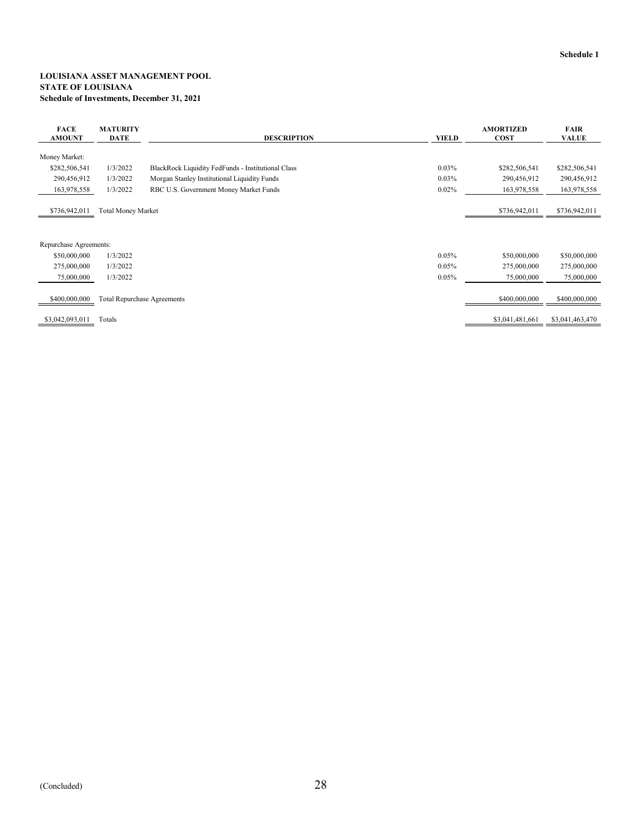#### **LOUISIANA ASSET MANAGEMENT POOL STATE OF LOUISIANA Schedule of Investments, December 31, 2021**

| <b>FACE</b><br><b>AMOUNT</b> | <b>MATURITY</b><br><b>DATE</b>     | <b>DESCRIPTION</b>                                 | <b>YIELD</b> | <b>AMORTIZED</b><br><b>COST</b> | <b>FAIR</b><br><b>VALUE</b> |
|------------------------------|------------------------------------|----------------------------------------------------|--------------|---------------------------------|-----------------------------|
| Money Market:                |                                    |                                                    |              |                                 |                             |
| \$282,506,541                | 1/3/2022                           | BlackRock Liquidity FedFunds - Institutional Class | 0.03%        | \$282,506,541                   | \$282,506,541               |
| 290,456,912                  | 1/3/2022                           | Morgan Stanley Institutional Liquidity Funds       | 0.03%        | 290,456,912                     | 290,456,912                 |
| 163,978,558                  | 1/3/2022                           | RBC U.S. Government Money Market Funds             | 0.02%        | 163,978,558                     | 163,978,558                 |
|                              |                                    |                                                    |              |                                 |                             |
| \$736,942,011                | <b>Total Money Market</b>          |                                                    |              | \$736,942,011                   | \$736,942,011               |
|                              |                                    |                                                    |              |                                 |                             |
|                              |                                    |                                                    |              |                                 |                             |
| Repurchase Agreements:       |                                    |                                                    |              |                                 |                             |
| \$50,000,000                 | 1/3/2022                           |                                                    | 0.05%        | \$50,000,000                    | \$50,000,000                |
| 275,000,000                  | 1/3/2022                           |                                                    | 0.05%        | 275,000,000                     | 275,000,000                 |
| 75,000,000                   | 1/3/2022                           |                                                    | 0.05%        | 75,000,000                      | 75,000,000                  |
|                              |                                    |                                                    |              |                                 |                             |
| \$400,000,000                | <b>Total Repurchase Agreements</b> |                                                    |              | \$400,000,000                   | \$400,000,000               |
|                              |                                    |                                                    |              |                                 |                             |
| \$3,042,093,011              | Totals                             |                                                    |              | \$3,041,481,661                 | \$3,041,463,470             |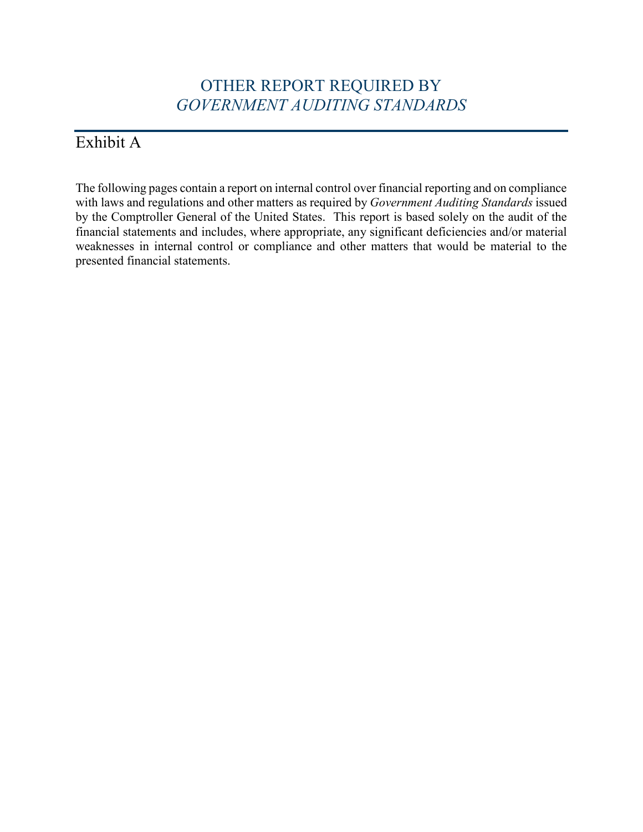# OTHER REPORT REQUIRED BY *GOVERNMENT AUDITING STANDARDS*

# Exhibit A

The following pages contain a report on internal control over financial reporting and on compliance with laws and regulations and other matters as required by *Government Auditing Standards* issued by the Comptroller General of the United States. This report is based solely on the audit of the financial statements and includes, where appropriate, any significant deficiencies and/or material weaknesses in internal control or compliance and other matters that would be material to the presented financial statements.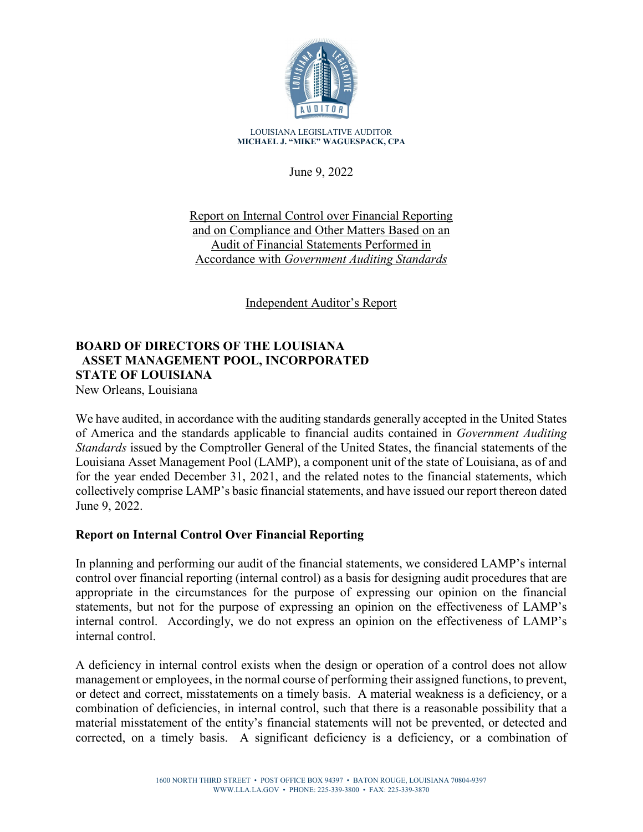

#### LOUISIANA LEGISLATIVE AUDITOR **MICHAEL J. "MIKE" WAGUESPACK, CPA**

June 9, 2022

Report on Internal Control over Financial Reporting and on Compliance and Other Matters Based on an Audit of Financial Statements Performed in Accordance with *Government Auditing Standards*

Independent Auditor's Report

# **BOARD OF DIRECTORS OF THE LOUISIANA ASSET MANAGEMENT POOL, INCORPORATED STATE OF LOUISIANA**

New Orleans, Louisiana

We have audited, in accordance with the auditing standards generally accepted in the United States of America and the standards applicable to financial audits contained in *Government Auditing Standards* issued by the Comptroller General of the United States, the financial statements of the Louisiana Asset Management Pool (LAMP), a component unit of the state of Louisiana, as of and for the year ended December 31, 2021, and the related notes to the financial statements, which collectively comprise LAMP's basic financial statements, and have issued our report thereon dated June 9, 2022.

# **Report on Internal Control Over Financial Reporting**

In planning and performing our audit of the financial statements, we considered LAMP's internal control over financial reporting (internal control) as a basis for designing audit procedures that are appropriate in the circumstances for the purpose of expressing our opinion on the financial statements, but not for the purpose of expressing an opinion on the effectiveness of LAMP's internal control. Accordingly, we do not express an opinion on the effectiveness of LAMP's internal control.

A deficiency in internal control exists when the design or operation of a control does not allow management or employees, in the normal course of performing their assigned functions, to prevent, or detect and correct, misstatements on a timely basis. A material weakness is a deficiency, or a combination of deficiencies, in internal control, such that there is a reasonable possibility that a material misstatement of the entity's financial statements will not be prevented, or detected and corrected, on a timely basis. A significant deficiency is a deficiency, or a combination of